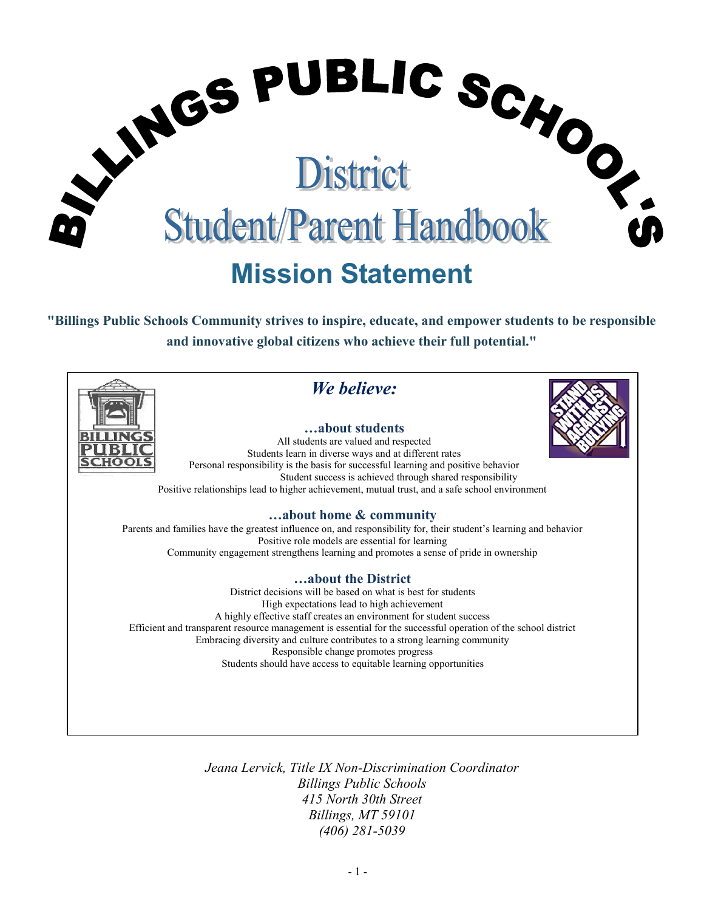

**"Billings Public Schools Community strives to inspire, educate, and empower students to be responsible and innovative global citizens who achieve their full potential."**



*Jeana Lervick, Title IX Non-Discrimination Coordinator Billings Public Schools 415 North 30th Street Billings, MT 59101 (406) 281-5039*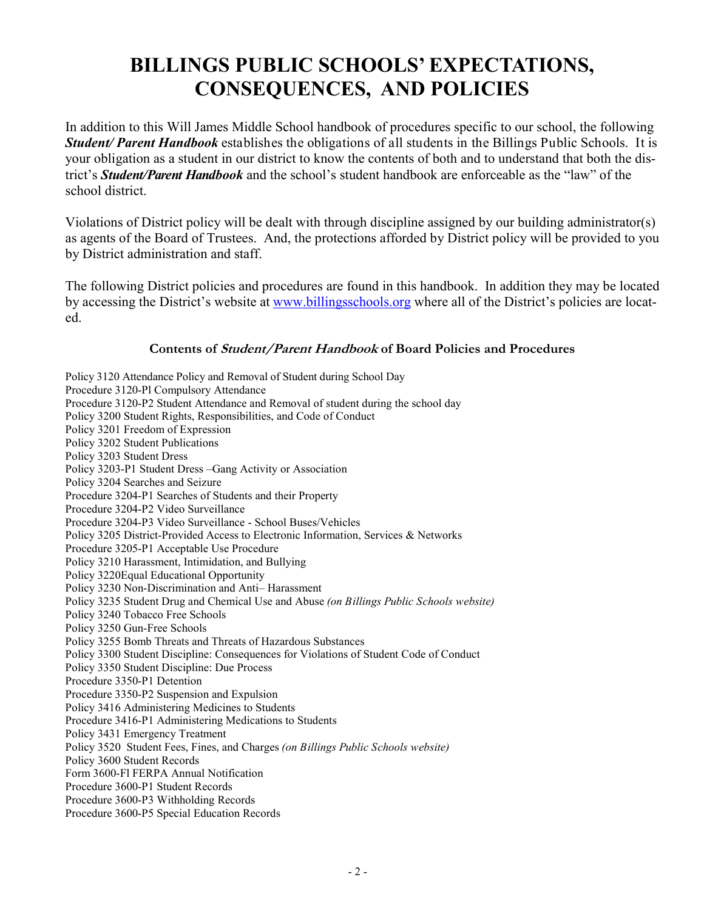# **BILLINGS PUBLIC SCHOOLS' EXPECTATIONS, CONSEQUENCES, AND POLICIES**

In addition to this Will James Middle School handbook of procedures specific to our school, the following *Student/ Parent Handbook* establishes the obligations of all students in the Billings Public Schools. It is your obligation as a student in our district to know the contents of both and to understand that both the district's *Student/Parent Handbook* and the school's student handbook are enforceable as the "law" of the school district.

Violations of District policy will be dealt with through discipline assigned by our building administrator(s) as agents of the Board of Trustees. And, the protections afforded by District policy will be provided to you by District administration and staff.

The following District policies and procedures are found in this handbook. In addition they may be located by accessing the District's website at [www.billingsschools.org](http://www.billings.k12.mt.us/) where all of the District's policies are located.

### **Contents of Student/Parent Handbook of Board Policies and Procedures**

Policy 3120 Attendance Policy and Removal of Student during School Day Procedure 3120-Pl Compulsory Attendance Procedure 3120-P2 Student Attendance and Removal of student during the school day Policy 3200 Student Rights, Responsibilities, and Code of Conduct Policy 3201 Freedom of Expression Policy 3202 Student Publications Policy 3203 Student Dress Policy 3203-P1 Student Dress –Gang Activity or Association Policy 3204 Searches and Seizure Procedure 3204-P1 Searches of Students and their Property Procedure 3204-P2 Video Surveillance Procedure 3204-P3 Video Surveillance - School Buses/Vehicles Policy 3205 District-Provided Access to Electronic Information, Services & Networks Procedure 3205-P1 Acceptable Use Procedure Policy 3210 Harassment, Intimidation, and Bullying Policy 3220Equal Educational Opportunity Policy 3230 Non-Discrimination and Anti– Harassment Policy 3235 Student Drug and Chemical Use and Abuse *(on Billings Public Schools website)* Policy 3240 Tobacco Free Schools Policy 3250 Gun-Free Schools Policy 3255 Bomb Threats and Threats of Hazardous Substances Policy 3300 Student Discipline: Consequences for Violations of Student Code of Conduct Policy 3350 Student Discipline: Due Process Procedure 3350-P1 Detention Procedure 3350-P2 Suspension and Expulsion Policy 3416 Administering Medicines to Students Procedure 3416-P1 Administering Medications to Students Policy 3431 Emergency Treatment Policy 3520 Student Fees, Fines, and Charges *(on Billings Public Schools website)* Policy 3600 Student Records Form 3600-Fl FERPA Annual Notification Procedure 3600-P1 Student Records Procedure 3600-P3 Withholding Records Procedure 3600-P5 Special Education Records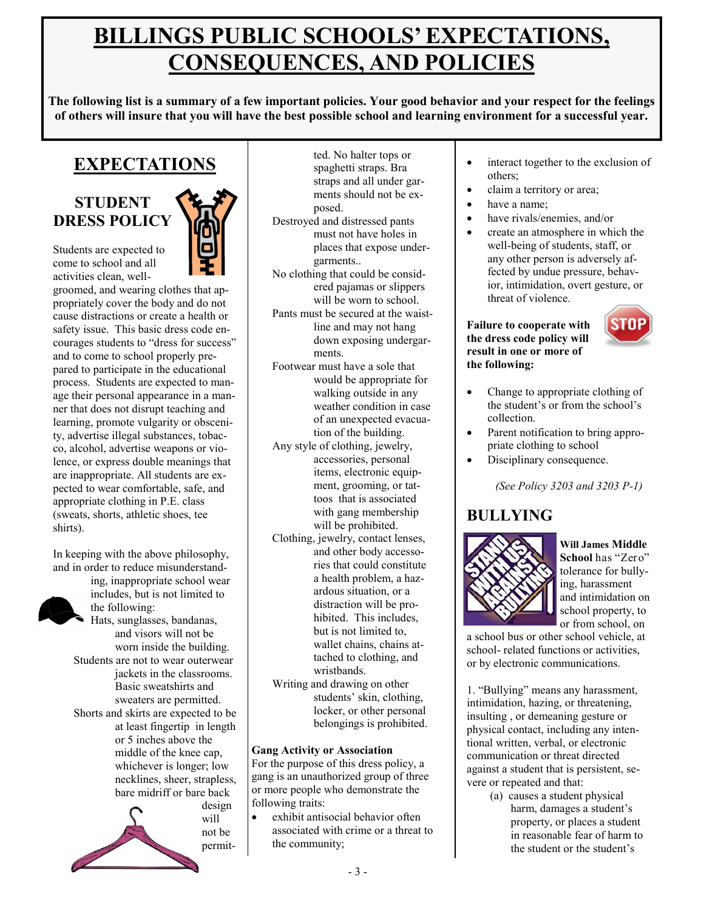# **BILLINGS PUBLIC SCHOOLS' EXPECTATIONS, CONSEQUENCES, AND POLICIES**

**The following list is a summary of a few important policies. Your good behavior and your respect for the feelings of others will insure that you will have the best possible school and learning environment for a successful year.** 

### **EXPECTATIONS**

### **STUDENT DRESS POLICY**



Students are expected to come to school and all activities clean, well-

groomed, and wearing clothes that appropriately cover the body and do not cause distractions or create a health or safety issue. This basic dress code encourages students to "dress for success" and to come to school properly prepared to participate in the educational process. Students are expected to manage their personal appearance in a manner that does not disrupt teaching and learning, promote vulgarity or obscenity, advertise illegal substances, tobacco, alcohol, advertise weapons or violence, or express double meanings that are inappropriate. All students are expected to wear comfortable, safe, and appropriate clothing in P.E. class (sweats, shorts, athletic shoes, tee shirts).

In keeping with the above philosophy, and in order to reduce misunderstand-



ing, inappropriate school wear includes, but is not limited to the following: Hats, sunglasses, bandanas, and visors will not be worn inside the building. Students are not to wear outerwear jackets in the classrooms. Basic sweatshirts and sweaters are permitted. Shorts and skirts are expected to be at least fingertip in length or 5 inches above the middle of the knee cap, whichever is longer; low

necklines, sheer, strapless, bare midriff or bare back design



ted. No halter tops or spaghetti straps. Bra straps and all under garments should not be exposed.

- Destroyed and distressed pants must not have holes in places that expose undergarments..
- No clothing that could be considered pajamas or slippers will be worn to school.
- Pants must be secured at the waistline and may not hang down exposing undergarments.
- Footwear must have a sole that would be appropriate for walking outside in any weather condition in case of an unexpected evacuation of the building.
- Any style of clothing, jewelry, accessories, personal items, electronic equipment, grooming, or tattoos that is associated with gang membership will be prohibited.
- Clothing, jewelry, contact lenses, and other body accessories that could constitute a health problem, a hazardous situation, or a distraction will be prohibited. This includes, but is not limited to, wallet chains, chains attached to clothing, and wristbands.
- Writing and drawing on other students' skin, clothing, locker, or other personal belongings is prohibited.

### **Gang Activity or Association**

For the purpose of this dress policy, a gang is an unauthorized group of three or more people who demonstrate the following traits:

 exhibit antisocial behavior often associated with crime or a threat to the community;

- interact together to the exclusion of others;
- claim a territory or area;
- have a name;
	- have rivals/enemies, and/or
- create an atmosphere in which the well-being of students, staff, or any other person is adversely affected by undue pressure, behavior, intimidation, overt gesture, or threat of violence.

#### **Failure to cooperate with the dress code policy will result in one or more of the following:**



- Change to appropriate clothing of the student's or from the school's collection.
- Parent notification to bring appropriate clothing to school
- Disciplinary consequence.

*(See Policy 3203 and 3203 P-1)*

### **BULLYING**



**Will James Middle School** has "Zero" tolerance for bullying, harassment and intimidation on school property, to or from school, on

a school bus or other school vehicle, at school- related functions or activities, or by electronic communications.

1. "Bullying" means any harassment, intimidation, hazing, or threatening, insulting , or demeaning gesture or physical contact, including any intentional written, verbal, or electronic communication or threat directed against a student that is persistent, severe or repeated and that:

(a) causes a student physical harm, damages a student's property, or places a student in reasonable fear of harm to the student or the student's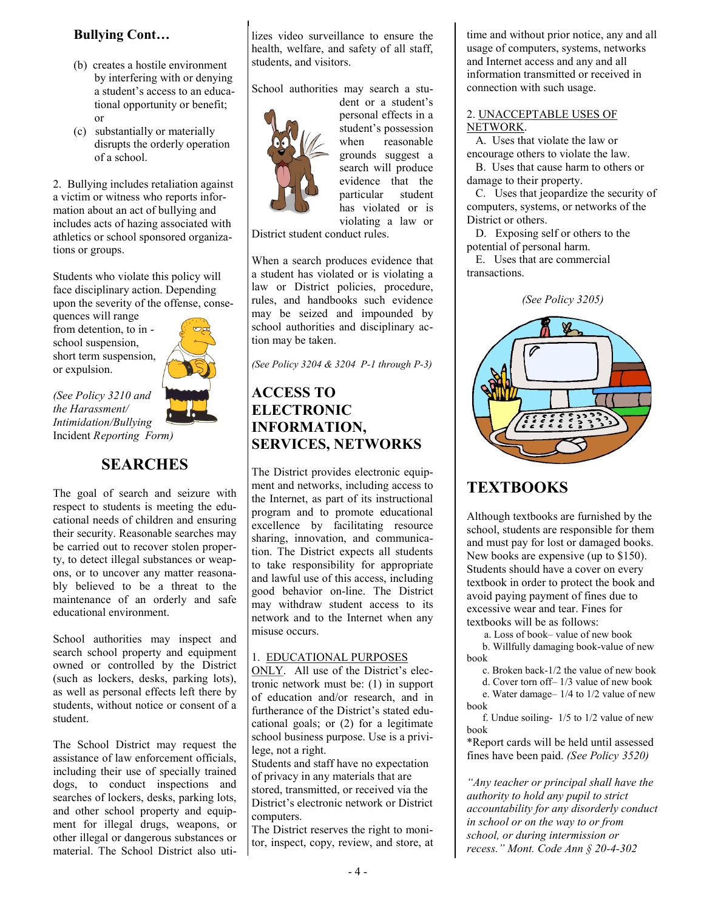### **Bullying Cont…**

- (b) creates a hostile environment by interfering with or denying a student's access to an educational opportunity or benefit; or
- (c) substantially or materially disrupts the orderly operation of a school.

2. Bullying includes retaliation against a victim or witness who reports information about an act of bullying and includes acts of hazing associated with athletics or school sponsored organizations or groups.

Students who violate this policy will face disciplinary action. Depending upon the severity of the offense, conse-

quences will range from detention, to in school suspension, short term suspension, or expulsion.



*(See Policy 3210 and the Harassment/ Intimidation/Bullying*  Incident *Reporting Form)*

### **SEARCHES**

The goal of search and seizure with respect to students is meeting the educational needs of children and ensuring their security. Reasonable searches may be carried out to recover stolen property, to detect illegal substances or weapons, or to uncover any matter reasonably believed to be a threat to the maintenance of an orderly and safe educational environment.

School authorities may inspect and search school property and equipment owned or controlled by the District (such as lockers, desks, parking lots), as well as personal effects left there by students, without notice or consent of a student.

The School District may request the assistance of law enforcement officials, including their use of specially trained dogs, to conduct inspections and searches of lockers, desks, parking lots, and other school property and equipment for illegal drugs, weapons, or other illegal or dangerous substances or material. The School District also utilizes video surveillance to ensure the health, welfare, and safety of all staff, students, and visitors.

School authorities may search a stu-



personal effects in a student's possession when reasonable grounds suggest a search will produce evidence that the particular student has violated or is violating a law or

dent or a student's

District student conduct rules.

When a search produces evidence that a student has violated or is violating a law or District policies, procedure, rules, and handbooks such evidence may be seized and impounded by school authorities and disciplinary action may be taken.

*(See Policy 3204 & 3204 P-1 through P-3)*

### **ACCESS TO ELECTRONIC INFORMATION, SERVICES, NETWORKS**

The District provides electronic equipment and networks, including access to the Internet, as part of its instructional program and to promote educational excellence by facilitating resource sharing, innovation, and communication. The District expects all students to take responsibility for appropriate and lawful use of this access, including good behavior on-line. The District may withdraw student access to its network and to the Internet when any misuse occurs.

#### 1. EDUCATIONAL PURPOSES

ONLY. All use of the District's electronic network must be: (1) in support of education and/or research, and in furtherance of the District's stated educational goals; or (2) for a legitimate school business purpose. Use is a privilege, not a right.

Students and staff have no expectation of privacy in any materials that are stored, transmitted, or received via the District's electronic network or District computers.

The District reserves the right to monitor, inspect, copy, review, and store, at time and without prior notice, any and all usage of computers, systems, networks and Internet access and any and all information transmitted or received in connection with such usage.

#### 2. UNACCEPTABLE USES OF NETWORK.

 A. Uses that violate the law or encourage others to violate the law.

 B. Uses that cause harm to others or damage to their property.

 C. Uses that jeopardize the security of computers, systems, or networks of the District or others.

 D. Exposing self or others to the potential of personal harm.

 E. Uses that are commercial transactions.

*(See Policy 3205)*



### **TEXTBOOKS**

Although textbooks are furnished by the school, students are responsible for them and must pay for lost or damaged books. New books are expensive (up to \$150). Students should have a cover on every textbook in order to protect the book and avoid paying payment of fines due to excessive wear and tear. Fines for textbooks will be as follows:

a. Loss of book– value of new book

 b. Willfully damaging book-value of new book

c. Broken back-1/2 the value of new book

 d. Cover torn off– 1/3 value of new book e. Water damage– 1/4 to 1/2 value of new

book f. Undue soiling- 1/5 to 1/2 value of new

book

\*Report cards will be held until assessed fines have been paid. *(See Policy 3520)*

*"Any teacher or principal shall have the authority to hold any pupil to strict accountability for any disorderly conduct in school or on the way to or from school, or during intermission or recess." Mont. Code Ann § 20-4-302*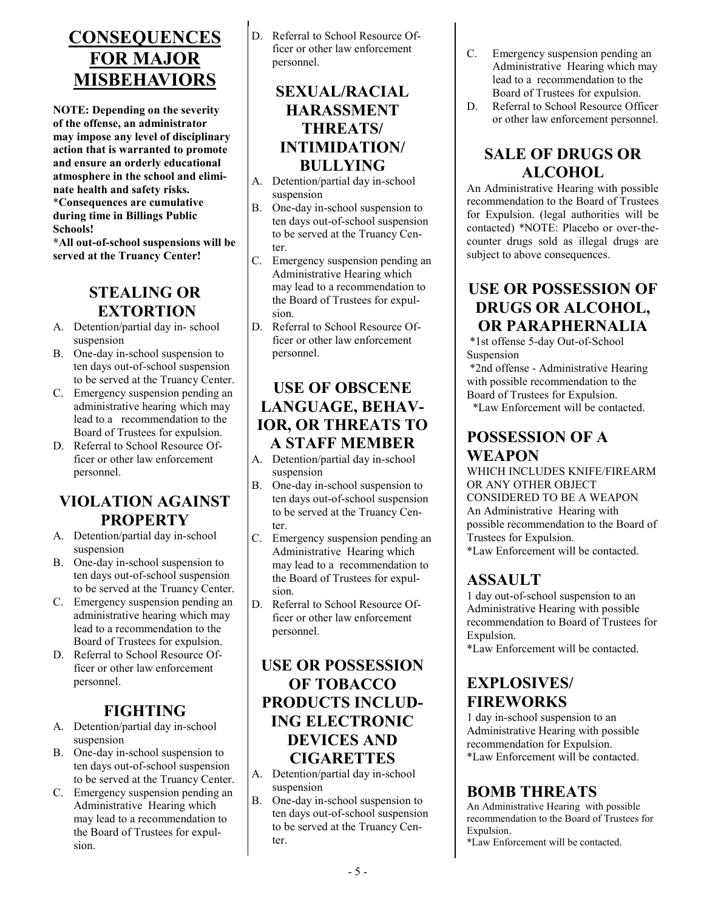## **CONSEQUENCES FOR MAJOR MISBEHAVIORS**

**NOTE: Depending on the severity of the offense, an administrator may impose any level of disciplinary action that is warranted to promote and ensure an orderly educational atmosphere in the school and eliminate health and safety risks.** \***Consequences are cumulative during time in Billings Public Schools!**

**\*All out-of-school suspensions will be served at the Truancy Center!**

### **STEALING OR EXTORTION**

- A. Detention/partial day in- school suspension
- B. One-day in-school suspension to ten days out-of-school suspension to be served at the Truancy Center.
- C. Emergency suspension pending an administrative hearing which may lead to a recommendation to the Board of Trustees for expulsion.
- D. Referral to School Resource Officer or other law enforcement personnel.

### **VIOLATION AGAINST PROPERTY**

- A. Detention/partial day in-school suspension
- B. One-day in-school suspension to ten days out-of-school suspension to be served at the Truancy Center.
- C. Emergency suspension pending an administrative hearing which may lead to a recommendation to the Board of Trustees for expulsion.
- D. Referral to School Resource Officer or other law enforcement personnel.

### **FIGHTING**

- A. Detention/partial day in-school suspension
- B. One-day in-school suspension to ten days out-of-school suspension to be served at the Truancy Center.
- C. Emergency suspension pending an Administrative Hearing which may lead to a recommendation to the Board of Trustees for expulsion.

D. Referral to School Resource Officer or other law enforcement personnel.

### **SEXUAL/RACIAL HARASSMENT THREATS/ INTIMIDATION/ BULLYING**

- A. Detention/partial day in-school suspension
- B. One-day in-school suspension to ten days out-of-school suspension to be served at the Truancy Center.
- C. Emergency suspension pending an Administrative Hearing which may lead to a recommendation to the Board of Trustees for expulsion.
- D. Referral to School Resource Officer or other law enforcement personnel.

### **USE OF OBSCENE LANGUAGE, BEHAV-IOR, OR THREATS TO A STAFF MEMBER**

- A. Detention/partial day in-school suspension
- B. One-day in-school suspension to ten days out-of-school suspension to be served at the Truancy Center.
- C. Emergency suspension pending an Administrative Hearing which may lead to a recommendation to the Board of Trustees for expulsion.
- D. Referral to School Resource Officer or other law enforcement personnel.

### **USE OR POSSESSION OF TOBACCO PRODUCTS INCLUD-ING ELECTRONIC DEVICES AND CIGARETTES**

- A. Detention/partial day in-school suspension
- B. One-day in-school suspension to ten days out-of-school suspension to be served at the Truancy Center.
- C. Emergency suspension pending an Administrative Hearing which may lead to a recommendation to the Board of Trustees for expulsion.
- D. Referral to School Resource Officer or other law enforcement personnel.

### **SALE OF DRUGS OR ALCOHOL**

An Administrative Hearing with possible recommendation to the Board of Trustees for Expulsion. (legal authorities will be contacted) \*NOTE: Placebo or over-thecounter drugs sold as illegal drugs are subject to above consequences.

### **USE OR POSSESSION OF DRUGS OR ALCOHOL, OR PARAPHERNALIA**

\*1st offense 5-day Out-of-School Suspension

- \*2nd offense Administrative Hearing with possible recommendation to the Board of Trustees for Expulsion.
- \*Law Enforcement will be contacted.

### **POSSESSION OF A WEAPON**

WHICH INCLUDES KNIFE/FIREARM OR ANY OTHER OBJECT CONSIDERED TO BE A WEAPON An Administrative Hearing with possible recommendation to the Board of Trustees for Expulsion. \*Law Enforcement will be contacted.

### **ASSAULT**

1 day out-of-school suspension to an Administrative Hearing with possible recommendation to Board of Trustees for Expulsion.

\*Law Enforcement will be contacted.

### **EXPLOSIVES/ FIREWORKS**

1 day in-school suspension to an Administrative Hearing with possible recommendation for Expulsion. \*Law Enforcement will be contacted.

### **BOMB THREATS**

An Administrative Hearing with possible recommendation to the Board of Trustees for Expulsion.

\*Law Enforcement will be contacted.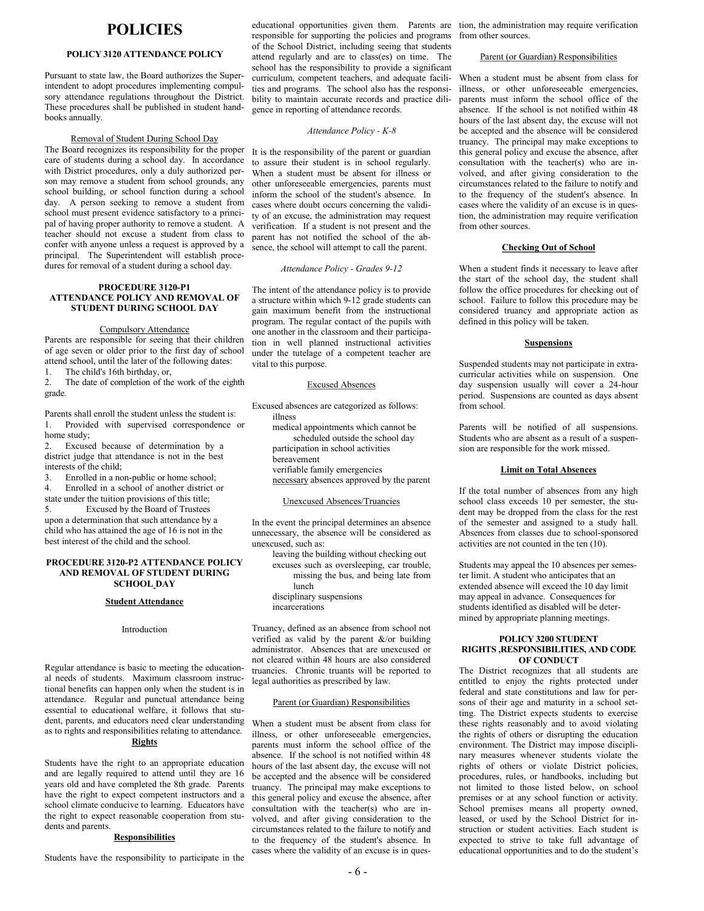### **POLICIES**

#### **POLICY 3120 ATTENDANCE POLICY**

Pursuant to state law, the Board authorizes the Superintendent to adopt procedures implementing compulsory attendance regulations throughout the District. These procedures shall be published in student handbooks annually.

#### Removal of Student During School Day

The Board recognizes its responsibility for the proper care of students during a school day. In accordance with District procedures, only a duly authorized person may remove a student from school grounds, any school building, or school function during a school day. A person seeking to remove a student from school must present evidence satisfactory to a principal of having proper authority to remove a student. A teacher should not excuse a student from class to confer with anyone unless a request is approved by a principal. The Superintendent will establish procedures for removal of a student during a school day.

#### **PROCEDURE 3120-P1 ATTENDANCE POLICY AND REMOVAL OF STUDENT DURING SCHOOL DAY**

#### Compulsory Attendance

Parents are responsible for seeing that their children of age seven or older prior to the first day of school attend school, until the later of the following dates:<br>1. The child's 16th birthday or The child's 16th birthday, or,

2. The date of completion of the work of the eighth grade.

- Parents shall enroll the student unless the student is: 1. Provided with supervised correspondence or home study;
- 2. Excused because of determination by a district judge that attendance is not in the best interests of the child;
- 3. Enrolled in a non-public or home school;
- 4. Enrolled in a school of another district or state under the tuition provisions of this title; 5. Excused by the Board of Trustees

upon a determination that such attendance by a child who has attained the age of 16 is not in the best interest of the child and the school.

#### **PROCEDURE 3120-P2 ATTENDANCE POLICY AND REMOVAL OF STUDENT DURING SCHOOL DAY**

#### **Student Attendance**

#### Introduction

Regular attendance is basic to meeting the educational needs of students. Maximum classroom instructional benefits can happen only when the student is in attendance. Regular and punctual attendance being essential to educational welfare, it follows that student, parents, and educators need clear understanding as to rights and responsibilities relating to attendance. **Rights**

Students have the right to an appropriate education and are legally required to attend until they are 16 years old and have completed the 8th grade. Parents have the right to expect competent instructors and a school climate conducive to learning. Educators have the right to expect reasonable cooperation from students and parents.

#### **Responsibilities**

Students have the responsibility to participate in the

responsible for supporting the policies and programs of the School District, including seeing that students attend regularly and are to class(es) on time. The school has the responsibility to provide a significant curriculum, competent teachers, and adequate facilities and programs. The school also has the responsibility to maintain accurate records and practice diligence in reporting of attendance records.

#### *Attendance Policy - K-8*

It is the responsibility of the parent or guardian to assure their student is in school regularly. When a student must be absent for illness or other unforeseeable emergencies, parents must inform the school of the student's absence. In cases where doubt occurs concerning the validity of an excuse, the administration may request verification. If a student is not present and the parent has not notified the school of the absence, the school will attempt to call the parent.

#### *Attendance Policy - Grades 9-12*

The intent of the attendance policy is to provide a structure within which 9-12 grade students can gain maximum benefit from the instructional program. The regular contact of the pupils with one another in the classroom and their participation in well planned instructional activities under the tutelage of a competent teacher are vital to this purpose.

#### Excused Absences

Excused absences are categorized as follows: illness

medical appointments which cannot be scheduled outside the school day participation in school activities

bereavement verifiable family emergencies necessary absences approved by the parent

#### Unexcused Absences/Truancies

In the event the principal determines an absence unnecessary, the absence will be considered as unexcused, such as:

leaving the building without checking out excuses such as oversleeping, car trouble, missing the bus, and being late from lunch disciplinary suspensions incarcerations

Truancy, defined as an absence from school not verified as valid by the parent  $\&$ /or building administrator. Absences that are unexcused or not cleared within 48 hours are also considered truancies. Chronic truants will be reported to legal authorities as prescribed by law.

#### Parent (or Guardian) Responsibilities

When a student must be absent from class for illness, or other unforeseeable emergencies, parents must inform the school office of the absence. If the school is not notified within 48 hours of the last absent day, the excuse will not be accepted and the absence will be considered truancy. The principal may make exceptions to this general policy and excuse the absence, after consultation with the teacher(s) who are involved, and after giving consideration to the circumstances related to the failure to notify and to the frequency of the student's absence. In cases where the validity of an excuse is in ques-

educational opportunities given them. Parents are tion, the administration may require verification from other sources.

#### Parent (or Guardian) Responsibilities

When a student must be absent from class for illness, or other unforeseeable emergencies, parents must inform the school office of the absence. If the school is not notified within 48 hours of the last absent day, the excuse will not be accepted and the absence will be considered truancy. The principal may make exceptions to this general policy and excuse the absence, after consultation with the teacher(s) who are involved, and after giving consideration to the circumstances related to the failure to notify and to the frequency of the student's absence. In cases where the validity of an excuse is in question, the administration may require verification from other sources.

#### **Checking Out of School**

When a student finds it necessary to leave after the start of the school day, the student shall follow the office procedures for checking out of school. Failure to follow this procedure may be considered truancy and appropriate action as defined in this policy will be taken.

#### **Suspensions**

Suspended students may not participate in extracurricular activities while on suspension. One day suspension usually will cover a 24-hour period. Suspensions are counted as days absent from school.

Parents will be notified of all suspensions. Students who are absent as a result of a suspension are responsible for the work missed.

#### **Limit on Total Absences**

If the total number of absences from any high school class exceeds 10 per semester, the student may be dropped from the class for the rest of the semester and assigned to a study hall. Absences from classes due to school-sponsored activities are not counted in the ten (10).

Students may appeal the 10 absences per semester limit. A student who anticipates that an extended absence will exceed the 10 day limit may appeal in advance. Consequences for students identified as disabled will be determined by appropriate planning meetings.

#### **POLICY 3200 STUDENT RIGHTS ,RESPONSIBILITIES, AND CODE OF CONDUCT**

The District recognizes that all students are entitled to enjoy the rights protected under federal and state constitutions and law for persons of their age and maturity in a school setting. The District expects students to exercise these rights reasonably and to avoid violating the rights of others or disrupting the education environment. The District may impose disciplinary measures whenever students violate the rights of others or violate District policies, procedures, rules, or handbooks, including but not limited to those listed below, on school premises or at any school function or activity. School premises means all property owned, leased, or used by the School District for instruction or student activities. Each student is expected to strive to take full advantage of educational opportunities and to do the student's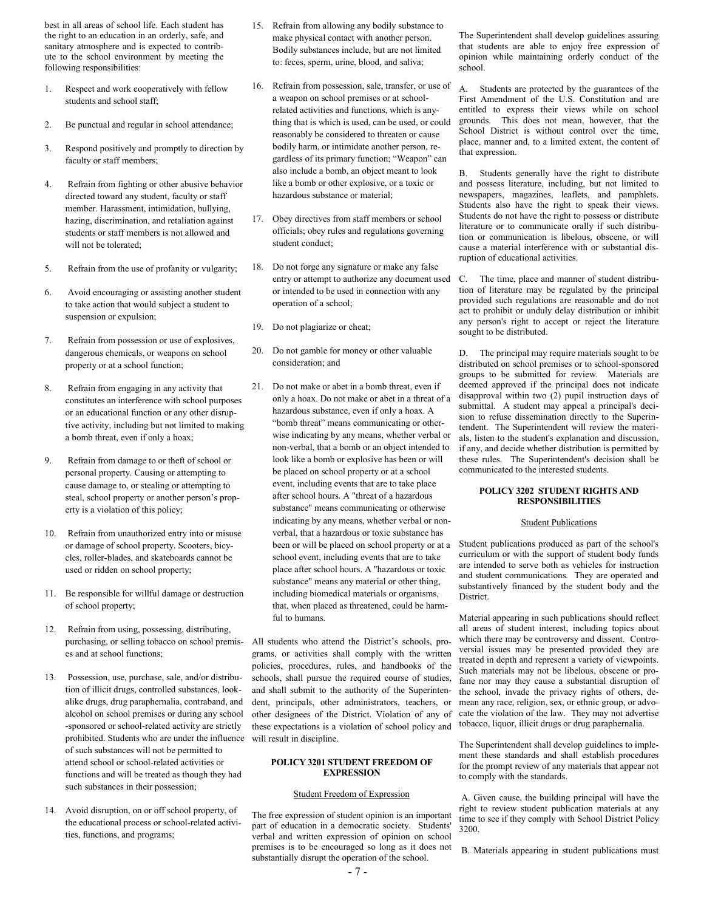best in all areas of school life. Each student has the right to an education in an orderly, safe, and sanitary atmosphere and is expected to contribute to the school environment by meeting the following responsibilities:

- 1. Respect and work cooperatively with fellow students and school staff;
- 2. Be punctual and regular in school attendance;
- 3. Respond positively and promptly to direction by faculty or staff members;
- 4. Refrain from fighting or other abusive behavior directed toward any student, faculty or staff member. Harassment, intimidation, bullying, hazing, discrimination, and retaliation against students or staff members is not allowed and will not be tolerated:
- 5. Refrain from the use of profanity or vulgarity;
- 6. Avoid encouraging or assisting another student to take action that would subject a student to suspension or expulsion;
- 7. Refrain from possession or use of explosives, dangerous chemicals, or weapons on school property or at a school function;
- 8. Refrain from engaging in any activity that constitutes an interference with school purposes or an educational function or any other disruptive activity, including but not limited to making a bomb threat, even if only a hoax;
- 9. Refrain from damage to or theft of school or personal property. Causing or attempting to cause damage to, or stealing or attempting to steal, school property or another person's property is a violation of this policy;
- 10. Refrain from unauthorized entry into or misuse or damage of school property. Scooters, bicycles, roller-blades, and skateboards cannot be used or ridden on school property;
- 11. Be responsible for willful damage or destruction of school property;
- 12. Refrain from using, possessing, distributing, purchasing, or selling tobacco on school premises and at school functions;
- 13. Possession, use, purchase, sale, and/or distribution of illicit drugs, controlled substances, lookalike drugs, drug paraphernalia, contraband, and alcohol on school premises or during any school -sponsored or school-related activity are strictly prohibited. Students who are under the influence of such substances will not be permitted to attend school or school-related activities or functions and will be treated as though they had such substances in their possession;
- 14. Avoid disruption, on or off school property, of the educational process or school-related activities, functions, and programs;
- 15. Refrain from allowing any bodily substance to make physical contact with another person. Bodily substances include, but are not limited to: feces, sperm, urine, blood, and saliva;
- 16. Refrain from possession, sale, transfer, or use of a weapon on school premises or at schoolrelated activities and functions, which is anything that is which is used, can be used, or could reasonably be considered to threaten or cause bodily harm, or intimidate another person, regardless of its primary function; "Weapon" can also include a bomb, an object meant to look like a bomb or other explosive, or a toxic or hazardous substance or material;
- 17. Obey directives from staff members or school officials; obey rules and regulations governing student conduct;
- 18. Do not forge any signature or make any false entry or attempt to authorize any document used or intended to be used in connection with any operation of a school;
- 19. Do not plagiarize or cheat;
- 20. Do not gamble for money or other valuable consideration; and
- 21. Do not make or abet in a bomb threat, even if only a hoax. Do not make or abet in a threat of a hazardous substance, even if only a hoax. A "bomb threat" means communicating or otherwise indicating by any means, whether verbal or non-verbal, that a bomb or an object intended to look like a bomb or explosive has been or will be placed on school property or at a school event, including events that are to take place after school hours. A "threat of a hazardous substance" means communicating or otherwise indicating by any means, whether verbal or nonverbal, that a hazardous or toxic substance has been or will be placed on school property or at a school event, including events that are to take place after school hours. A "hazardous or toxic substance" means any material or other thing, including biomedical materials or organisms, that, when placed as threatened, could be harmful to humans.

All students who attend the District's schools, programs, or activities shall comply with the written policies, procedures, rules, and handbooks of the schools, shall pursue the required course of studies, and shall submit to the authority of the Superintendent, principals, other administrators, teachers, or other designees of the District. Violation of any of these expectations is a violation of school policy and will result in discipline.

#### **POLICY 3201 STUDENT FREEDOM OF EXPRESSION**

#### Student Freedom of Expression

The free expression of student opinion is an important part of education in a democratic society. Students' verbal and written expression of opinion on school premises is to be encouraged so long as it does not substantially disrupt the operation of the school.

The Superintendent shall develop guidelines assuring that students are able to enjoy free expression of opinion while maintaining orderly conduct of the school.

A. Students are protected by the guarantees of the First Amendment of the U.S. Constitution and are entitled to express their views while on school grounds. This does not mean, however, that the School District is without control over the time, place, manner and, to a limited extent, the content of that expression.

B. Students generally have the right to distribute and possess literature, including, but not limited to newspapers, magazines, leaflets, and pamphlets. Students also have the right to speak their views. Students do not have the right to possess or distribute literature or to communicate orally if such distribution or communication is libelous, obscene, or will cause a material interference with or substantial disruption of educational activities.

C. The time, place and manner of student distribution of literature may be regulated by the principal provided such regulations are reasonable and do not act to prohibit or unduly delay distribution or inhibit any person's right to accept or reject the literature sought to be distributed.

D. The principal may require materials sought to be distributed on school premises or to school-sponsored groups to be submitted for review. Materials are deemed approved if the principal does not indicate disapproval within two (2) pupil instruction days of submittal. A student may appeal a principal's decision to refuse dissemination directly to the Superintendent. The Superintendent will review the materials, listen to the student's explanation and discussion, if any, and decide whether distribution is permitted by these rules. The Superintendent's decision shall be communicated to the interested students.

#### **POLICY 3202 STUDENT RIGHTS AND RESPONSIBILITIES**

#### Student Publications

Student publications produced as part of the school's curriculum or with the support of student body funds are intended to serve both as vehicles for instruction and student communications. They are operated and substantively financed by the student body and the District.

Material appearing in such publications should reflect all areas of student interest, including topics about which there may be controversy and dissent. Controversial issues may be presented provided they are treated in depth and represent a variety of viewpoints. Such materials may not be libelous, obscene or profane nor may they cause a substantial disruption of the school, invade the privacy rights of others, demean any race, religion, sex, or ethnic group, or advocate the violation of the law. They may not advertise tobacco, liquor, illicit drugs or drug paraphernalia.

The Superintendent shall develop guidelines to implement these standards and shall establish procedures for the prompt review of any materials that appear not to comply with the standards.

A. Given cause, the building principal will have the right to review student publication materials at any time to see if they comply with School District Policy 3200.

B. Materials appearing in student publications must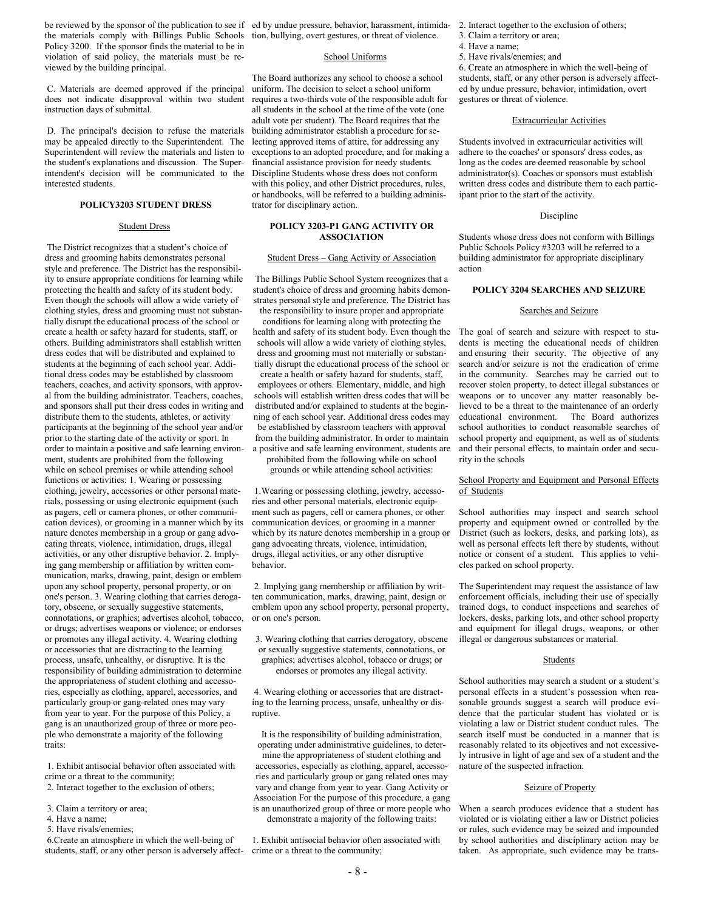be reviewed by the sponsor of the publication to see if ed by undue pressure, behavior, harassment, intimidathe materials comply with Billings Public Schools tion, bullying, overt gestures, or threat of violence. Policy 3200. If the sponsor finds the material to be in violation of said policy, the materials must be reviewed by the building principal.

C. Materials are deemed approved if the principal does not indicate disapproval within two student instruction days of submittal.

D. The principal's decision to refuse the materials may be appealed directly to the Superintendent. The Superintendent will review the materials and listen to the student's explanations and discussion. The Superintendent's decision will be communicated to the interested students.

#### **POLICY3203 STUDENT DRESS**

#### Student Dress

The District recognizes that a student's choice of dress and grooming habits demonstrates personal style and preference. The District has the responsibility to ensure appropriate conditions for learning while protecting the health and safety of its student body. Even though the schools will allow a wide variety of clothing styles, dress and grooming must not substantially disrupt the educational process of the school or create a health or safety hazard for students, staff, or others. Building administrators shall establish written dress codes that will be distributed and explained to students at the beginning of each school year. Additional dress codes may be established by classroom teachers, coaches, and activity sponsors, with approval from the building administrator. Teachers, coaches, and sponsors shall put their dress codes in writing and distribute them to the students, athletes, or activity participants at the beginning of the school year and/or prior to the starting date of the activity or sport. In order to maintain a positive and safe learning environment, students are prohibited from the following while on school premises or while attending school functions or activities: 1. Wearing or possessing clothing, jewelry, accessories or other personal materials, possessing or using electronic equipment (such as pagers, cell or camera phones, or other communication devices), or grooming in a manner which by its nature denotes membership in a group or gang advocating threats, violence, intimidation, drugs, illegal activities, or any other disruptive behavior. 2. Implying gang membership or affiliation by written communication, marks, drawing, paint, design or emblem upon any school property, personal property, or on one's person. 3. Wearing clothing that carries derogatory, obscene, or sexually suggestive statements, connotations, or graphics; advertises alcohol, tobacco, or drugs; advertises weapons or violence; or endorses or promotes any illegal activity. 4. Wearing clothing or accessories that are distracting to the learning process, unsafe, unhealthy, or disruptive. It is the responsibility of building administration to determine the appropriateness of student clothing and accessories, especially as clothing, apparel, accessories, and particularly group or gang-related ones may vary from year to year. For the purpose of this Policy, a gang is an unauthorized group of three or more people who demonstrate a majority of the following traits:

1. Exhibit antisocial behavior often associated with crime or a threat to the community;

- 2. Interact together to the exclusion of others;
- 3. Claim a territory or area;
- 4. Have a name;
- 5. Have rivals/enemies;

6.Create an atmosphere in which the well-being of students, staff, or any other person is adversely affect-

#### School Uniforms

The Board authorizes any school to choose a school uniform. The decision to select a school uniform requires a two-thirds vote of the responsible adult for all students in the school at the time of the vote (one adult vote per student). The Board requires that the building administrator establish a procedure for selecting approved items of attire, for addressing any exceptions to an adopted procedure, and for making a financial assistance provision for needy students. Discipline Students whose dress does not conform with this policy, and other District procedures, rules, or handbooks, will be referred to a building administrator for disciplinary action.

#### **POLICY 3203-P1 GANG ACTIVITY OR ASSOCIATION**

#### Student Dress – Gang Activity or Association

The Billings Public School System recognizes that a student's choice of dress and grooming habits demonstrates personal style and preference. The District has the responsibility to insure proper and appropriate

conditions for learning along with protecting the health and safety of its student body. Even though the schools will allow a wide variety of clothing styles, dress and grooming must not materially or substantially disrupt the educational process of the school or

create a health or safety hazard for students, staff, employees or others. Elementary, middle, and high schools will establish written dress codes that will be distributed and/or explained to students at the beginning of each school year. Additional dress codes may be established by classroom teachers with approval from the building administrator. In order to maintain a positive and safe learning environment, students are prohibited from the following while on school

grounds or while attending school activities:

1.Wearing or possessing clothing, jewelry, accessories and other personal materials, electronic equipment such as pagers, cell or camera phones, or other communication devices, or grooming in a manner which by its nature denotes membership in a group or gang advocating threats, violence, intimidation, drugs, illegal activities, or any other disruptive behavior.

2. Implying gang membership or affiliation by written communication, marks, drawing, paint, design or emblem upon any school property, personal property, or on one's person.

3. Wearing clothing that carries derogatory, obscene or sexually suggestive statements, connotations, or graphics; advertises alcohol, tobacco or drugs; or endorses or promotes any illegal activity.

4. Wearing clothing or accessories that are distracting to the learning process, unsafe, unhealthy or disruptive.

It is the responsibility of building administration, operating under administrative guidelines, to determine the appropriateness of student clothing and accessories, especially as clothing, apparel, accessories and particularly group or gang related ones may vary and change from year to year. Gang Activity or Association For the purpose of this procedure, a gang is an unauthorized group of three or more people who demonstrate a majority of the following traits:

1. Exhibit antisocial behavior often associated with crime or a threat to the community;

2. Interact together to the exclusion of others;

- 3. Claim a territory or area;
- 4. Have a name;
- 5. Have rivals/enemies; and

6. Create an atmosphere in which the well-being of students, staff, or any other person is adversely affected by undue pressure, behavior, intimidation, overt gestures or threat of violence.

#### Extracurricular Activities

Students involved in extracurricular activities will adhere to the coaches' or sponsors' dress codes, as long as the codes are deemed reasonable by school administrator(s). Coaches or sponsors must establish written dress codes and distribute them to each participant prior to the start of the activity.

#### Discipline

Students whose dress does not conform with Billings Public Schools Policy #3203 will be referred to a building administrator for appropriate disciplinary action

#### **POLICY 3204 SEARCHES AND SEIZURE**

#### Searches and Seizure

The goal of search and seizure with respect to students is meeting the educational needs of children and ensuring their security. The objective of any search and/or seizure is not the eradication of crime in the community. Searches may be carried out to recover stolen property, to detect illegal substances or weapons or to uncover any matter reasonably believed to be a threat to the maintenance of an orderly educational environment. The Board authorizes school authorities to conduct reasonable searches of school property and equipment, as well as of students and their personal effects, to maintain order and security in the schools

#### School Property and Equipment and Personal Effects of Students

School authorities may inspect and search school property and equipment owned or controlled by the District (such as lockers, desks, and parking lots), as well as personal effects left there by students, without notice or consent of a student. This applies to vehicles parked on school property.

The Superintendent may request the assistance of law enforcement officials, including their use of specially trained dogs, to conduct inspections and searches of lockers, desks, parking lots, and other school property and equipment for illegal drugs, weapons, or other illegal or dangerous substances or material.

#### **Students**

School authorities may search a student or a student's personal effects in a student's possession when reasonable grounds suggest a search will produce evidence that the particular student has violated or is violating a law or District student conduct rules. The search itself must be conducted in a manner that is reasonably related to its objectives and not excessively intrusive in light of age and sex of a student and the nature of the suspected infraction.

#### Seizure of Property

When a search produces evidence that a student has violated or is violating either a law or District policies or rules, such evidence may be seized and impounded by school authorities and disciplinary action may be taken. As appropriate, such evidence may be trans-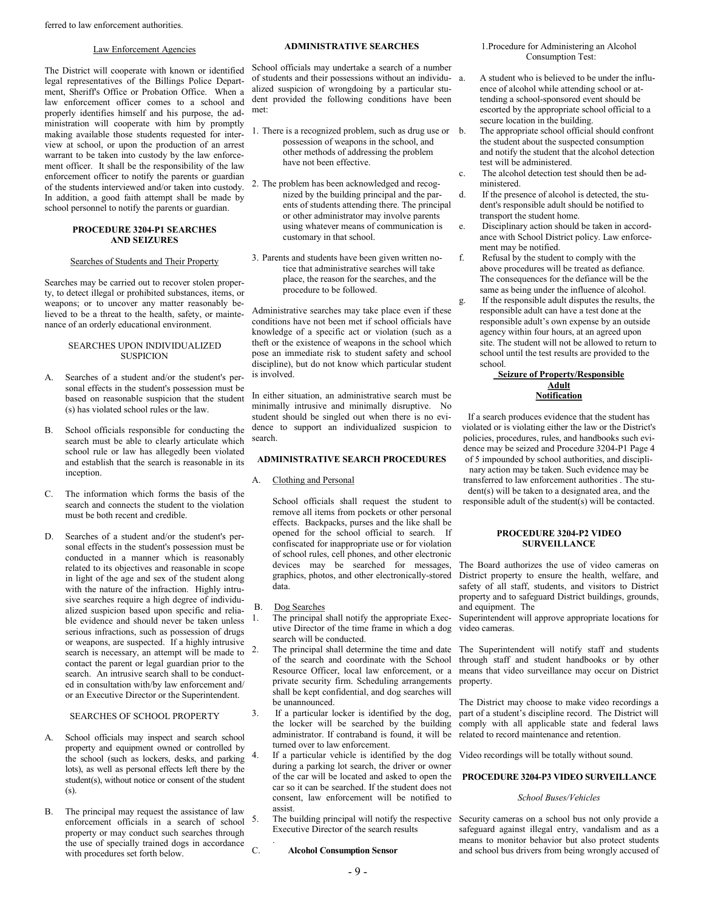#### Law Enforcement Agencies

The District will cooperate with known or identified legal representatives of the Billings Police Department, Sheriff's Office or Probation Office. When a law enforcement officer comes to a school and properly identifies himself and his purpose, the administration will cooperate with him by promptly making available those students requested for interview at school, or upon the production of an arrest warrant to be taken into custody by the law enforcement officer. It shall be the responsibility of the law enforcement officer to notify the parents or guardian of the students interviewed and/or taken into custody. In addition, a good faith attempt shall be made by school personnel to notify the parents or guardian.

#### **PROCEDURE 3204-P1 SEARCHES AND SEIZURES**

#### Searches of Students and Their Property

Searches may be carried out to recover stolen property, to detect illegal or prohibited substances, items, or weapons; or to uncover any matter reasonably believed to be a threat to the health, safety, or maintenance of an orderly educational environment.

#### SEARCHES UPON INDIVIDUALIZED **SUSPICION**

- A. Searches of a student and/or the student's personal effects in the student's possession must be based on reasonable suspicion that the student (s) has violated school rules or the law.
- B. School officials responsible for conducting the search must be able to clearly articulate which school rule or law has allegedly been violated and establish that the search is reasonable in its inception.
- C. The information which forms the basis of the search and connects the student to the violation must be both recent and credible.
- D. Searches of a student and/or the student's personal effects in the student's possession must be conducted in a manner which is reasonably related to its objectives and reasonable in scope in light of the age and sex of the student along with the nature of the infraction. Highly intrusive searches require a high degree of individualized suspicion based upon specific and reliable evidence and should never be taken unless serious infractions, such as possession of drugs or weapons, are suspected. If a highly intrusive search is necessary, an attempt will be made to <sup>2</sup>. contact the parent or legal guardian prior to the search. An intrusive search shall to be conducted in consultation with/by law enforcement and/ or an Executive Director or the Superintendent.

#### SEARCHES OF SCHOOL PROPERTY

- School officials may inspect and search school property and equipment owned or controlled by the school (such as lockers, desks, and parking lots), as well as personal effects left there by the student(s), without notice or consent of the student (s).
- B. The principal may request the assistance of law enforcement officials in a search of school property or may conduct such searches through the use of specially trained dogs in accordance with procedures set forth below.

#### **ADMINISTRATIVE SEARCHES**

School officials may undertake a search of a number of students and their possessions without an individualized suspicion of wrongdoing by a particular student provided the following conditions have been met:

- 1. There is a recognized problem, such as drug use or possession of weapons in the school, and other methods of addressing the problem have not been effective.
- 2. The problem has been acknowledged and recognized by the building principal and the parents of students attending there. The principal or other administrator may involve parents using whatever means of communication is customary in that school.
- 3. Parents and students have been given written notice that administrative searches will take place, the reason for the searches, and the procedure to be followed.

Administrative searches may take place even if these conditions have not been met if school officials have knowledge of a specific act or violation (such as a theft or the existence of weapons in the school which pose an immediate risk to student safety and school discipline), but do not know which particular student is involved.

In either situation, an administrative search must be minimally intrusive and minimally disruptive. No student should be singled out when there is no evidence to support an individualized suspicion to search.

#### **ADMINISTRATIVE SEARCH PROCEDURES**

#### A. Clothing and Personal

School officials shall request the student to remove all items from pockets or other personal effects. Backpacks, purses and the like shall be opened for the school official to search. If confiscated for inappropriate use or for violation of school rules, cell phones, and other electronic devices may be searched for messages, graphics, photos, and other electronically-stored data.

#### B. Dog Searches

.

- 1. The principal shall notify the appropriate Executive Director of the time frame in which a dog search will be conducted.
- The principal shall determine the time and date of the search and coordinate with the School Resource Officer, local law enforcement, or a private security firm. Scheduling arrangements shall be kept confidential, and dog searches will be unannounced.
- 3. If a particular locker is identified by the dog, the locker will be searched by the building administrator. If contraband is found, it will be turned over to law enforcement.
- 4. If a particular vehicle is identified by the dog Video recordings will be totally without sound. during a parking lot search, the driver or owner of the car will be located and asked to open the car so it can be searched. If the student does not consent, law enforcement will be notified to assist.

Executive Director of the search results

#### C. **Alcohol Consumption Sensor**

#### 1.Procedure for Administering an Alcohol Consumption Test:

- a. A student who is believed to be under the influence of alcohol while attending school or attending a school-sponsored event should be escorted by the appropriate school official to a secure location in the building.
- The appropriate school official should confront the student about the suspected consumption and notify the student that the alcohol detection test will be administered.
- c. The alcohol detection test should then be administered.
- d. If the presence of alcohol is detected, the student's responsible adult should be notified to transport the student home.
- e. Disciplinary action should be taken in accordance with School District policy. Law enforcement may be notified.
- f. Refusal by the student to comply with the above procedures will be treated as defiance. The consequences for the defiance will be the same as being under the influence of alcohol.
- If the responsible adult disputes the results, the responsible adult can have a test done at the responsible adult's own expense by an outside agency within four hours, at an agreed upon site. The student will not be allowed to return to school until the test results are provided to the school.

#### **Seizure of Property/Responsible Adult Notification**

If a search produces evidence that the student has violated or is violating either the law or the District's policies, procedures, rules, and handbooks such evidence may be seized and Procedure 3204-P1 Page 4 of 5 impounded by school authorities, and disciplinary action may be taken. Such evidence may be transferred to law enforcement authorities . The student(s) will be taken to a designated area, and the responsible adult of the student(s) will be contacted.

#### **PROCEDURE 3204-P2 VIDEO SURVEILLANCE**

The Board authorizes the use of video cameras on District property to ensure the health, welfare, and safety of all staff, students, and visitors to District property and to safeguard District buildings, grounds, and equipment. The

Superintendent will approve appropriate locations for video cameras.

The Superintendent will notify staff and students through staff and student handbooks or by other means that video surveillance may occur on District property.

The District may choose to make video recordings a part of a student's discipline record. The District will comply with all applicable state and federal laws related to record maintenance and retention.

#### **PROCEDURE 3204-P3 VIDEO SURVEILLANCE**

#### *School Buses/Vehicles*

5. The building principal will notify the respective Security cameras on a school bus not only provide a safeguard against illegal entry, vandalism and as a means to monitor behavior but also protect students and school bus drivers from being wrongly accused of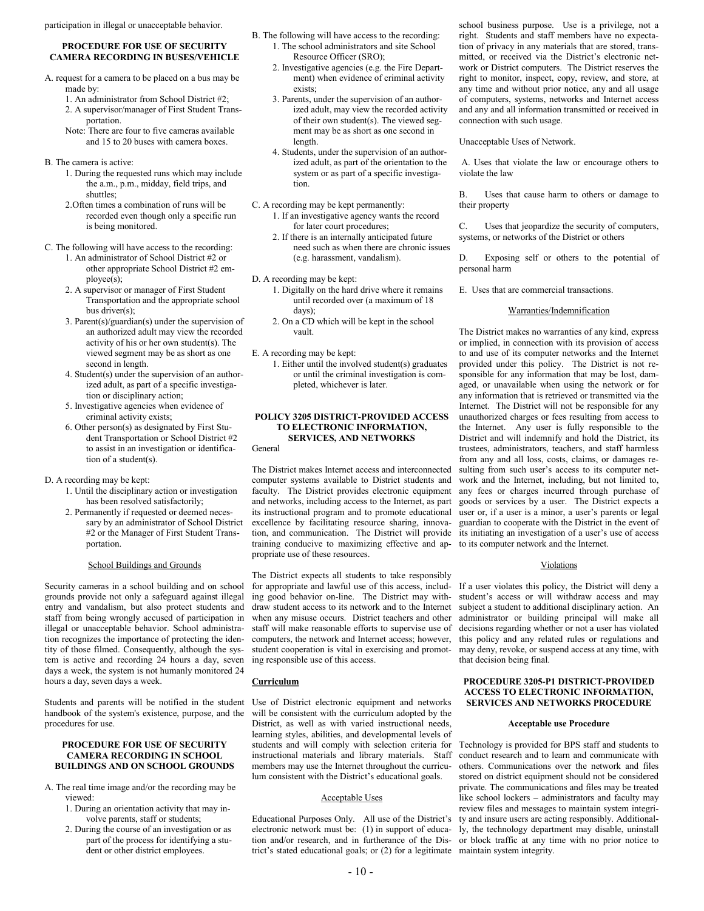participation in illegal or unacceptable behavior.

#### **PROCEDURE FOR USE OF SECURITY CAMERA RECORDING IN BUSES/VEHICLE**

- A. request for a camera to be placed on a bus may be made by:
	- 1. An administrator from School District #2;
	- 2. A supervisor/manager of First Student Transportation.
	- Note: There are four to five cameras available and 15 to 20 buses with camera boxes.
- B. The camera is active:
	- 1. During the requested runs which may include the a.m., p.m., midday, field trips, and shuttles:
	- 2.Often times a combination of runs will be recorded even though only a specific run is being monitored.
- C. The following will have access to the recording:
	- 1. An administrator of School District #2 or other appropriate School District #2 employee(s);
	- 2. A supervisor or manager of First Student Transportation and the appropriate school bus driver(s);
	- 3. Parent(s)/guardian(s) under the supervision of an authorized adult may view the recorded activity of his or her own student(s). The viewed segment may be as short as one second in length.
	- 4. Student(s) under the supervision of an authorized adult, as part of a specific investigation or disciplinary action;
	- 5. Investigative agencies when evidence of criminal activity exists;
	- 6. Other person(s) as designated by First Student Transportation or School District #2 to assist in an investigation or identification of a student(s).

#### D. A recording may be kept:

- 1. Until the disciplinary action or investigation has been resolved satisfactorily;
- 2. Permanently if requested or deemed necessary by an administrator of School District #2 or the Manager of First Student Transportation.

#### School Buildings and Grounds

Security cameras in a school building and on school grounds provide not only a safeguard against illegal entry and vandalism, but also protect students and staff from being wrongly accused of participation in illegal or unacceptable behavior. School administration recognizes the importance of protecting the identity of those filmed. Consequently, although the system is active and recording 24 hours a day, seven days a week, the system is not humanly monitored 24 hours a day, seven days a week.

handbook of the system's existence, purpose, and the procedures for use.

#### **PROCEDURE FOR USE OF SECURITY CAMERA RECORDING IN SCHOOL BUILDINGS AND ON SCHOOL GROUNDS**

- A. The real time image and/or the recording may be viewed:
	- 1. During an orientation activity that may involve parents, staff or students;
	- 2. During the course of an investigation or as part of the process for identifying a student or other district employees.
- B. The following will have access to the recording: 1. The school administrators and site School Resource Officer (SRO);
	- 2. Investigative agencies (e.g. the Fire Department) when evidence of criminal activity exists;
	- 3. Parents, under the supervision of an authorized adult, may view the recorded activity of their own student(s). The viewed segment may be as short as one second in length.
	- 4. Students, under the supervision of an authorized adult, as part of the orientation to the system or as part of a specific investigation.
- C. A recording may be kept permanently: 1. If an investigative agency wants the record for later court procedures;
	- 2. If there is an internally anticipated future need such as when there are chronic issues (e.g. harassment, vandalism).
- D. A recording may be kept:
	- 1. Digitally on the hard drive where it remains until recorded over (a maximum of 18 days);
	- 2. On a CD which will be kept in the school vault.
- E. A recording may be kept:
	- 1. Either until the involved student(s) graduates or until the criminal investigation is completed, whichever is later.

#### **POLICY 3205 DISTRICT-PROVIDED ACCESS TO ELECTRONIC INFORMATION, SERVICES, AND NETWORKS**

General

The District makes Internet access and interconnected computer systems available to District students and faculty. The District provides electronic equipment and networks, including access to the Internet, as part its instructional program and to promote educational excellence by facilitating resource sharing, innovation, and communication. The District will provide training conducive to maximizing effective and appropriate use of these resources.

The District expects all students to take responsibly for appropriate and lawful use of this access, including good behavior on-line. The District may withdraw student access to its network and to the Internet when any misuse occurs. District teachers and other staff will make reasonable efforts to supervise use of computers, the network and Internet access; however, student cooperation is vital in exercising and promoting responsible use of this access.

#### **Curriculum**

Students and parents will be notified in the student Use of District electronic equipment and networks will be consistent with the curriculum adopted by the District, as well as with varied instructional needs, learning styles, abilities, and developmental levels of students and will comply with selection criteria for instructional materials and library materials. Staff members may use the Internet throughout the curriculum consistent with the District's educational goals.

#### Acceptable Uses

Educational Purposes Only. All use of the District's electronic network must be: (1) in support of education and/or research, and in furtherance of the District's stated educational goals; or (2) for a legitimate maintain system integrity.

school business purpose. Use is a privilege, not a right. Students and staff members have no expectation of privacy in any materials that are stored, transmitted, or received via the District's electronic network or District computers. The District reserves the right to monitor, inspect, copy, review, and store, at any time and without prior notice, any and all usage of computers, systems, networks and Internet access and any and all information transmitted or received in connection with such usage.

Unacceptable Uses of Network.

A. Uses that violate the law or encourage others to violate the law

B. Uses that cause harm to others or damage to their property

C. Uses that jeopardize the security of computers, systems, or networks of the District or others

Exposing self or others to the potential of personal harm

E. Uses that are commercial transactions.

#### Warranties/Indemnification

The District makes no warranties of any kind, express or implied, in connection with its provision of access to and use of its computer networks and the Internet provided under this policy. The District is not responsible for any information that may be lost, damaged, or unavailable when using the network or for any information that is retrieved or transmitted via the Internet. The District will not be responsible for any unauthorized charges or fees resulting from access to the Internet. Any user is fully responsible to the District and will indemnify and hold the District, its trustees, administrators, teachers, and staff harmless from any and all loss, costs, claims, or damages resulting from such user's access to its computer network and the Internet, including, but not limited to, any fees or charges incurred through purchase of goods or services by a user. The District expects a user or, if a user is a minor, a user's parents or legal guardian to cooperate with the District in the event of its initiating an investigation of a user's use of access to its computer network and the Internet.

#### Violations

If a user violates this policy, the District will deny a student's access or will withdraw access and may subject a student to additional disciplinary action. An administrator or building principal will make all decisions regarding whether or not a user has violated this policy and any related rules or regulations and may deny, revoke, or suspend access at any time, with that decision being final.

#### **PROCEDURE 3205-P1 DISTRICT-PROVIDED ACCESS TO ELECTRONIC INFORMATION, SERVICES AND NETWORKS PROCEDURE**

#### **Acceptable use Procedure**

Technology is provided for BPS staff and students to conduct research and to learn and communicate with others. Communications over the network and files stored on district equipment should not be considered private. The communications and files may be treated like school lockers – administrators and faculty may review files and messages to maintain system integrity and insure users are acting responsibly. Additionally, the technology department may disable, uninstall or block traffic at any time with no prior notice to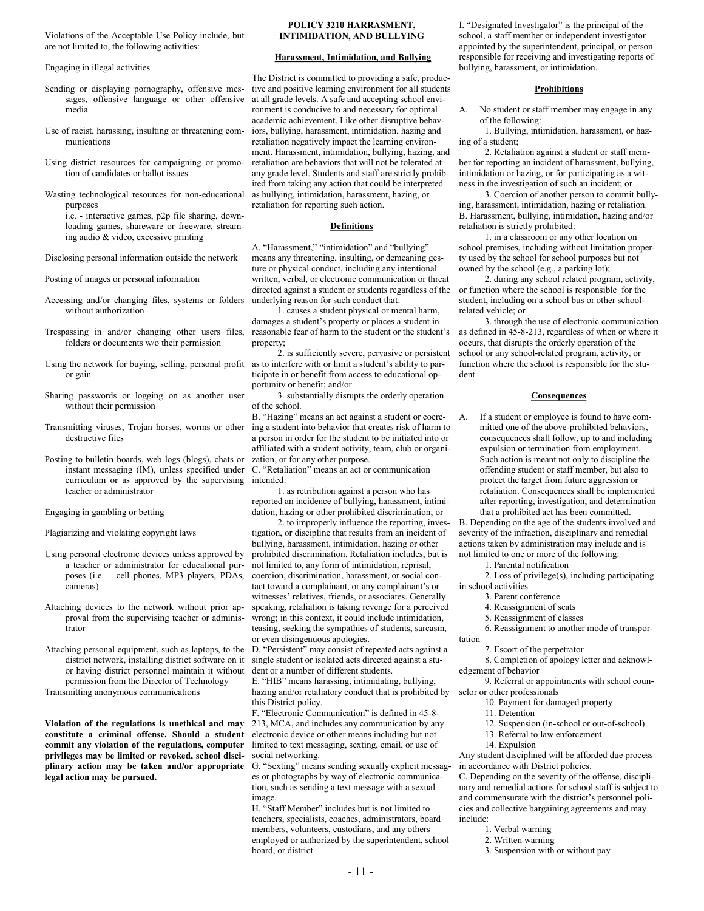Violations of the Acceptable Use Policy include, but are not limited to, the following activities:

Engaging in illegal activities

- Sending or displaying pornography, offensive messages, offensive language or other offensive media
- Use of racist, harassing, insulting or threatening communications
- Using district resources for campaigning or promotion of candidates or ballot issues

Wasting technological resources for non-educational purposes i.e. - interactive games, p2p file sharing, down-

loading games, shareware or freeware, streaming audio & video, excessive printing

Disclosing personal information outside the network

Posting of images or personal information

- Accessing and/or changing files, systems or folders without authorization
- folders or documents w/o their permission
- Using the network for buying, selling, personal profit or gain
- Sharing passwords or logging on as another user without their permission
- Transmitting viruses, Trojan horses, worms or other destructive files
- Posting to bulletin boards, web logs (blogs), chats or instant messaging (IM), unless specified under curriculum or as approved by the supervising teacher or administrator

Engaging in gambling or betting

Plagiarizing and violating copyright laws

- Using personal electronic devices unless approved by a teacher or administrator for educational purposes (i.e. – cell phones, MP3 players, PDAs, cameras)
- Attaching devices to the network without prior approval from the supervising teacher or administrator

Attaching personal equipment, such as laptops, to the district network, installing district software on it or having district personnel maintain it without permission from the Director of Technology

Transmitting anonymous communications

**Violation of the regulations is unethical and may constitute a criminal offense. Should a student commit any violation of the regulations, computer privileges may be limited or revoked, school disciplinary action may be taken and/or appropriate legal action may be pursued.**

#### **POLICY 3210 HARRASMENT, INTIMIDATION, AND BULLYING**

#### **Harassment, Intimidation, and Bullying**

The District is committed to providing a safe, productive and positive learning environment for all students at all grade levels. A safe and accepting school environment is conducive to and necessary for optimal academic achievement. Like other disruptive behaviors, bullying, harassment, intimidation, hazing and retaliation negatively impact the learning environment. Harassment, intimidation, bullying, hazing, and retaliation are behaviors that will not be tolerated at any grade level. Students and staff are strictly prohibited from taking any action that could be interpreted as bullying, intimidation, harassment, hazing, or retaliation for reporting such action.

#### **Definitions**

A. "Harassment," "intimidation" and "bullying" means any threatening, insulting, or demeaning gesture or physical conduct, including any intentional written, verbal, or electronic communication or threat directed against a student or students regardless of the underlying reason for such conduct that:

Trespassing in and/or changing other users files, reasonable fear of harm to the student or the student's 1. causes a student physical or mental harm, damages a student's property or places a student in property;

2. is sufficiently severe, pervasive or persistent as to interfere with or limit a student's ability to participate in or benefit from access to educational opportunity or benefit; and/or

3. substantially disrupts the orderly operation of the school.

B. "Hazing" means an act against a student or coercing a student into behavior that creates risk of harm to a person in order for the student to be initiated into or affiliated with a student activity, team, club or organization, or for any other purpose.

C. "Retaliation" means an act or communication intended:

1. as retribution against a person who has reported an incidence of bullying, harassment, intimidation, hazing or other prohibited discrimination; or

2. to improperly influence the reporting, investigation, or discipline that results from an incident of bullying, harassment, intimidation, hazing or other prohibited discrimination. Retaliation includes, but is not limited to, any form of intimidation, reprisal, coercion, discrimination, harassment, or social contact toward a complainant, or any complainant's or witnesses' relatives, friends, or associates. Generally speaking, retaliation is taking revenge for a perceived wrong; in this context, it could include intimidation, teasing, seeking the sympathies of students, sarcasm, or even disingenuous apologies.

D. "Persistent" may consist of repeated acts against a single student or isolated acts directed against a student or a number of different students.

E. "HIB" means harassing, intimidating, bullying, hazing and/or retaliatory conduct that is prohibited by this District policy.

F. "Electronic Communication" is defined in 45-8- 213, MCA, and includes any communication by any electronic device or other means including but not limited to text messaging, sexting, email, or use of social networking.

G. "Sexting" means sending sexually explicit messages or photographs by way of electronic communication, such as sending a text message with a sexual image.

H. "Staff Member" includes but is not limited to teachers, specialists, coaches, administrators, board members, volunteers, custodians, and any others employed or authorized by the superintendent, school board, or district.

I. "Designated Investigator" is the principal of the school, a staff member or independent investigator appointed by the superintendent, principal, or person responsible for receiving and investigating reports of bullying, harassment, or intimidation.

#### **Prohibitions**

A. No student or staff member may engage in any of the following:

1. Bullying, intimidation, harassment, or hazing of a student;

2. Retaliation against a student or staff member for reporting an incident of harassment, bullying, intimidation or hazing, or for participating as a witness in the investigation of such an incident; or

3. Coercion of another person to commit bullying, harassment, intimidation, hazing or retaliation. B. Harassment, bullying, intimidation, hazing and/or retaliation is strictly prohibited:

1. in a classroom or any other location on school premises, including without limitation property used by the school for school purposes but not owned by the school (e.g., a parking lot);

2. during any school related program, activity, or function where the school is responsible for the student, including on a school bus or other schoolrelated vehicle; or

3. through the use of electronic communication as defined in 45-8-213, regardless of when or where it occurs, that disrupts the orderly operation of the school or any school-related program, activity, or function where the school is responsible for the student.

#### **Consequences**

A. If a student or employee is found to have committed one of the above-prohibited behaviors, consequences shall follow, up to and including expulsion or termination from employment. Such action is meant not only to discipline the offending student or staff member, but also to protect the target from future aggression or retaliation. Consequences shall be implemented after reporting, investigation, and determination that a prohibited act has been committed.

B. Depending on the age of the students involved and severity of the infraction, disciplinary and remedial actions taken by administration may include and is not limited to one or more of the following:

1. Parental notification

2. Loss of privilege(s), including participating in school activities

- 3. Parent conference
- 4. Reassignment of seats
- 5. Reassignment of classes

6. Reassignment to another mode of transportation

7. Escort of the perpetrator

8. Completion of apology letter and acknowledgement of behavior

9. Referral or appointments with school counselor or other professionals

- 10. Payment for damaged property
- 11. Detention
- 12. Suspension (in-school or out-of-school)
- 13. Referral to law enforcement
- 14. Expulsion

Any student disciplined will be afforded due process in accordance with District policies.

C. Depending on the severity of the offense, disciplinary and remedial actions for school staff is subject to and commensurate with the district's personnel policies and collective bargaining agreements and may include:

- 1. Verbal warning
- 2. Written warning
- 3. Suspension with or without pay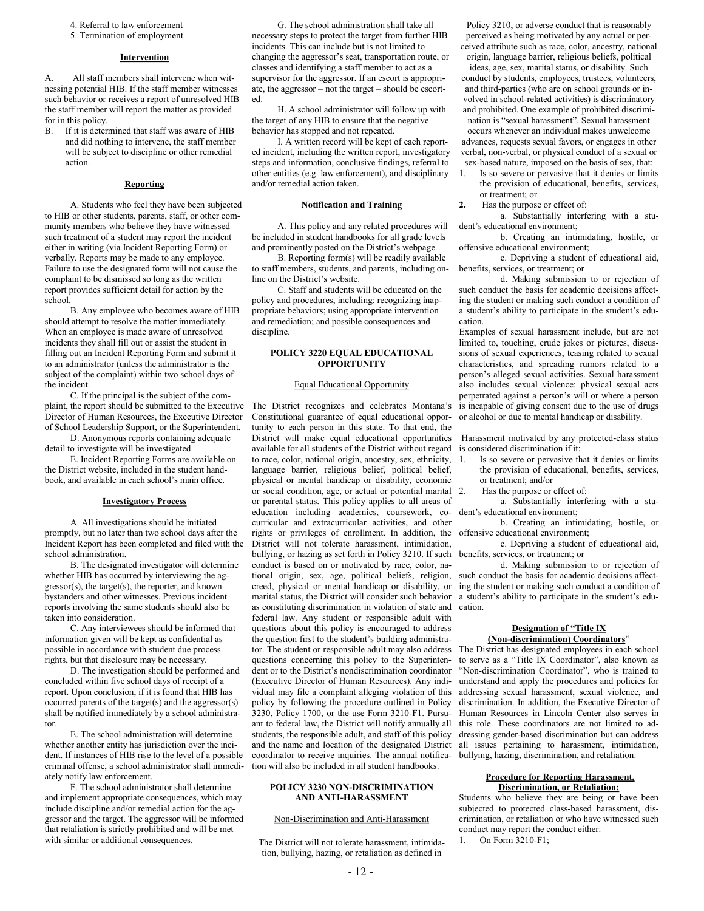- 4. Referral to law enforcement
- 5. Termination of employment

#### **Intervention**

A. All staff members shall intervene when witnessing potential HIB. If the staff member witnesses such behavior or receives a report of unresolved HIB the staff member will report the matter as provided for in this policy.<br>B. If it is deter

If it is determined that staff was aware of HIB and did nothing to intervene, the staff member will be subject to discipline or other remedial action.

#### **Reporting**

A. Students who feel they have been subjected to HIB or other students, parents, staff, or other community members who believe they have witnessed such treatment of a student may report the incident either in writing (via Incident Reporting Form) or verbally. Reports may be made to any employee. Failure to use the designated form will not cause the complaint to be dismissed so long as the written report provides sufficient detail for action by the school.

B. Any employee who becomes aware of HIB should attempt to resolve the matter immediately. When an employee is made aware of unresolved incidents they shall fill out or assist the student in filling out an Incident Reporting Form and submit it to an administrator (unless the administrator is the subject of the complaint) within two school days of the incident.

C. If the principal is the subject of the complaint, the report should be submitted to the Executive Director of Human Resources, the Executive Director of School Leadership Support, or the Superintendent. D. Anonymous reports containing adequate

detail to investigate will be investigated.

E. Incident Reporting Forms are available on the District website, included in the student handbook, and available in each school's main office.

#### **Investigatory Process**

A. All investigations should be initiated promptly, but no later than two school days after the Incident Report has been completed and filed with the school administration.

B. The designated investigator will determine whether HIB has occurred by interviewing the aggressor(s), the target(s), the reporter, and known bystanders and other witnesses. Previous incident reports involving the same students should also be taken into consideration.

C. Any interviewees should be informed that information given will be kept as confidential as possible in accordance with student due process rights, but that disclosure may be necessary.

D. The investigation should be performed and concluded within five school days of receipt of a report. Upon conclusion, if it is found that HIB has occurred parents of the target(s) and the aggressor(s) shall be notified immediately by a school administrator.

E. The school administration will determine whether another entity has jurisdiction over the incident. If instances of HIB rise to the level of a possible criminal offense, a school administrator shall immediately notify law enforcement.

F. The school administrator shall determine and implement appropriate consequences, which may include discipline and/or remedial action for the aggressor and the target. The aggressor will be informed that retaliation is strictly prohibited and will be met with similar or additional consequences.

G. The school administration shall take all necessary steps to protect the target from further HIB incidents. This can include but is not limited to changing the aggressor's seat, transportation route, or classes and identifying a staff member to act as a supervisor for the aggressor. If an escort is appropriate, the aggressor – not the target – should be escorted.

H. A school administrator will follow up with the target of any HIB to ensure that the negative behavior has stopped and not repeated.

I. A written record will be kept of each reported incident, including the written report, investigatory steps and information, conclusive findings, referral to other entities (e.g. law enforcement), and disciplinary and/or remedial action taken.

#### **Notification and Training**

A. This policy and any related procedures will be included in student handbooks for all grade levels and prominently posted on the District's webpage.

B. Reporting form(s) will be readily available to staff members, students, and parents, including online on the District's website.

C. Staff and students will be educated on the policy and procedures, including: recognizing inappropriate behaviors; using appropriate intervention and remediation; and possible consequences and discipline.

#### **POLICY 3220 EQUAL EDUCATIONAL OPPORTUNITY**

#### Equal Educational Opportunity

The District recognizes and celebrates Montana's Constitutional guarantee of equal educational opportunity to each person in this state. To that end, the District will make equal educational opportunities available for all students of the District without regard to race, color, national origin, ancestry, sex, ethnicity, language barrier, religious belief, political belief, physical or mental handicap or disability, economic or social condition, age, or actual or potential marital or parental status. This policy applies to all areas of education including academics, coursework, cocurricular and extracurricular activities, and other rights or privileges of enrollment. In addition, the District will not tolerate harassment, intimidation, bullying, or hazing as set forth in Policy 3210. If such conduct is based on or motivated by race, color, national origin, sex, age, political beliefs, religion, creed, physical or mental handicap or disability, or marital status, the District will consider such behavior as constituting discrimination in violation of state and federal law. Any student or responsible adult with questions about this policy is encouraged to address the question first to the student's building administrator. The student or responsible adult may also address questions concerning this policy to the Superintendent or to the District's nondiscrimination coordinator (Executive Director of Human Resources). Any individual may file a complaint alleging violation of this policy by following the procedure outlined in Policy 3230, Policy 1700, or the use Form 3210-F1. Pursuant to federal law, the District will notify annually all students, the responsible adult, and staff of this policy and the name and location of the designated District coordinator to receive inquiries. The annual notification will also be included in all student handbooks.

#### **POLICY 3230 NON-DISCRIMINATION AND ANTI-HARASSMENT**

#### Non-Discrimination and Anti-Harassment

The District will not tolerate harassment, intimidation, bullying, hazing, or retaliation as defined in

Policy 3210, or adverse conduct that is reasonably perceived as being motivated by any actual or perceived attribute such as race, color, ancestry, national origin, language barrier, religious beliefs, political ideas, age, sex, marital status, or disability. Such conduct by students, employees, trustees, volunteers, and third-parties (who are on school grounds or involved in school-related activities) is discriminatory and prohibited. One example of prohibited discrimination is "sexual harassment". Sexual harassment occurs whenever an individual makes unwelcome

advances, requests sexual favors, or engages in other verbal, non-verbal, or physical conduct of a sexual or sex-based nature, imposed on the basis of sex, that:

- 1. Is so severe or pervasive that it denies or limits the provision of educational, benefits, services, or treatment; or
- **2.** Has the purpose or effect of:

a. Substantially interfering with a student's educational environment;

b. Creating an intimidating, hostile, or offensive educational environment;

c. Depriving a student of educational aid, benefits, services, or treatment; or

d. Making submission to or rejection of such conduct the basis for academic decisions affecting the student or making such conduct a condition of a student's ability to participate in the student's education.

Examples of sexual harassment include, but are not limited to, touching, crude jokes or pictures, discussions of sexual experiences, teasing related to sexual characteristics, and spreading rumors related to a person's alleged sexual activities. Sexual harassment also includes sexual violence: physical sexual acts perpetrated against a person's will or where a person is incapable of giving consent due to the use of drugs or alcohol or due to mental handicap or disability.

Harassment motivated by any protected-class status is considered discrimination if it:

- 1. Is so severe or pervasive that it denies or limits the provision of educational, benefits, services, or treatment; and/or
- 2. Has the purpose or effect of:
- a. Substantially interfering with a student's educational environment;

b. Creating an intimidating, hostile, or offensive educational environment;

c. Depriving a student of educational aid, benefits, services, or treatment; or

d. Making submission to or rejection of such conduct the basis for academic decisions affecting the student or making such conduct a condition of a student's ability to participate in the student's education.

#### **Designation of "Title IX (Non-discrimination) Coordinators**"

The District has designated employees in each school to serve as a "Title IX Coordinator", also known as "Non-discrimination Coordinator", who is trained to understand and apply the procedures and policies for addressing sexual harassment, sexual violence, and discrimination. In addition, the Executive Director of Human Resources in Lincoln Center also serves in this role. These coordinators are not limited to addressing gender-based discrimination but can address all issues pertaining to harassment, intimidation, bullying, hazing, discrimination, and retaliation.

#### **Procedure for Reporting Harassment, Discrimination, or Retaliation:**

Students who believe they are being or have been subjected to protected class-based harassment, discrimination, or retaliation or who have witnessed such conduct may report the conduct either:

1. On Form 3210-F1;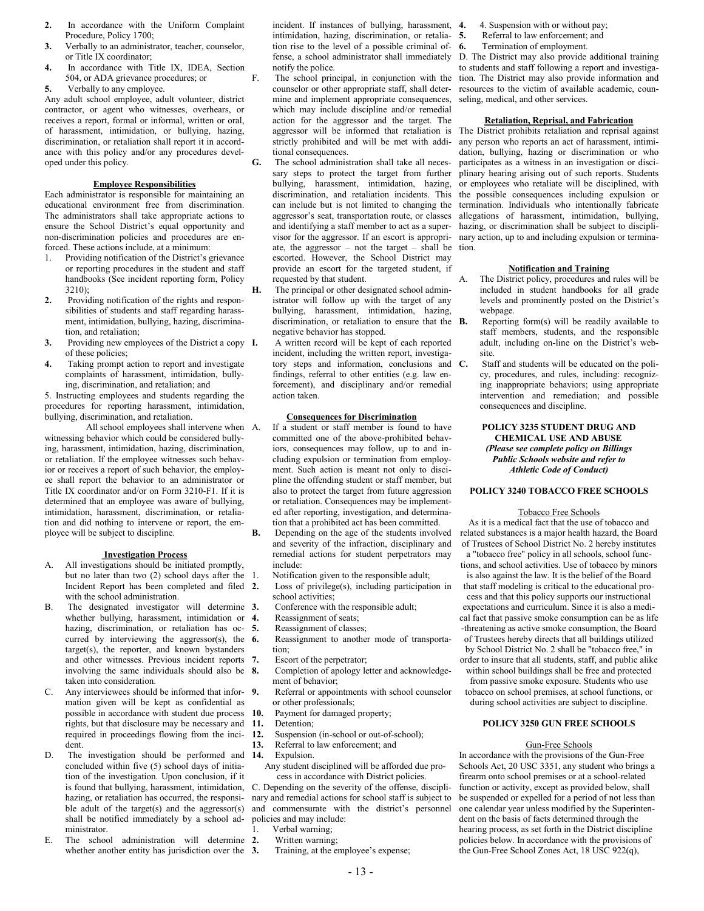- **2.** In accordance with the Uniform Complaint Procedure, Policy 1700;
- **3.** Verbally to an administrator, teacher, counselor, or Title IX coordinator;
- **4.** In accordance with Title IX, IDEA, Section 504, or ADA grievance procedures; or

**5.** Verbally to any employee.

Any adult school employee, adult volunteer, district contractor, or agent who witnesses, overhears, or receives a report, formal or informal, written or oral, of harassment, intimidation, or bullying, hazing, discrimination, or retaliation shall report it in accordance with this policy and/or any procedures developed under this policy.

#### **Employee Responsibilities**

Each administrator is responsible for maintaining an educational environment free from discrimination. The administrators shall take appropriate actions to ensure the School District's equal opportunity and non-discrimination policies and procedures are enforced. These actions include, at a minimum:

- 1. Providing notification of the District's grievance or reporting procedures in the student and staff handbooks (See incident reporting form, Policy  $3210$
- **2.** Providing notification of the rights and responsibilities of students and staff regarding harassment, intimidation, bullying, hazing, discrimination, and retaliation;
- **3.** Providing new employees of the District a copy **I.** of these policies;
- **4.** Taking prompt action to report and investigate complaints of harassment, intimidation, bullying, discrimination, and retaliation; and

5. Instructing employees and students regarding the procedures for reporting harassment, intimidation, bullying, discrimination, and retaliation.

All school employees shall intervene when A. witnessing behavior which could be considered bullying, harassment, intimidation, hazing, discrimination, or retaliation. If the employee witnesses such behavior or receives a report of such behavior, the employee shall report the behavior to an administrator or Title IX coordinator and/or on Form 3210-F1. If it is determined that an employee was aware of bullying, intimidation, harassment, discrimination, or retaliation and did nothing to intervene or report, the employee will be subject to discipline.

#### **Investigation Process**

- A. All investigations should be initiated promptly, but no later than two (2) school days after the 1. Incident Report has been completed and filed 2. with the school administration.
- B. The designated investigator will determine 3. whether bullying, harassment, intimidation or 4. hazing, discrimination, or retaliation has oc- 5. curred by interviewing the aggressor(s), the  $6$ . target(s), the reporter, and known bystanders and other witnesses. Previous incident reports 7. involving the same individuals should also be 8. taken into consideration.
- C. Any interviewees should be informed that information given will be kept as confidential as possible in accordance with student due process 10. rights, but that disclosure may be necessary and required in proceedings flowing from the incident.
- D. The investigation should be performed and 14. concluded within five (5) school days of initiation of the investigation. Upon conclusion, if it hazing, or retaliation has occurred, the responsible adult of the target $(s)$  and the aggressor $(s)$ shall be notified immediately by a school administrator.
- E. The school administration will determine 2. whether another entity has jurisdiction over the 3.

incident. If instances of bullying, harassment, 4. intimidation, hazing, discrimination, or retaliation rise to the level of a possible criminal ofnotify the police.

- F. The school principal, in conjunction with the counselor or other appropriate staff, shall determine and implement appropriate consequences, which may include discipline and/or remedial action for the aggressor and the target. The strictly prohibited and will be met with additional consequences.
- **G.** The school administration shall take all necessary steps to protect the target from further bullying, harassment, intimidation, hazing, discrimination, and retaliation incidents. This can include but is not limited to changing the aggressor's seat, transportation route, or classes and identifying a staff member to act as a supervisor for the aggressor. If an escort is appropriate, the aggressor – not the target – shall be escorted. However, the School District may provide an escort for the targeted student, if requested by that student.
- The principal or other designated school administrator will follow up with the target of any bullying, harassment, intimidation, hazing, discrimination, or retaliation to ensure that the **B**. negative behavior has stopped.
	- **I.** A written record will be kept of each reported incident, including the written report, investigatory steps and information, conclusions and C. findings, referral to other entities (e.g. law enforcement), and disciplinary and/or remedial action taken.

#### **Consequences for Discrimination**

If a student or staff member is found to have committed one of the above-prohibited behaviors, consequences may follow, up to and including expulsion or termination from employment. Such action is meant not only to discipline the offending student or staff member, but also to protect the target from future aggression or retaliation. Consequences may be implemented after reporting, investigation, and determination that a prohibited act has been committed.

- **B.** Depending on the age of the students involved and severity of the infraction, disciplinary and remedial actions for student perpetrators may include:
	- Notification given to the responsible adult;
	- **2.** Loss of privilege(s), including participation in school activities;
	- **3.** Conference with the responsible adult; **4.** Reassignment of seats;
	-
	- **5.** Reassignment of classes;
	- **6.** Reassignment to another mode of transportation;
	- **7.** Escort of the perpetrator;
	- **8.** Completion of apology letter and acknowledgement of behavior;
	- **9.** Referral or appointments with school counselor or other professionals;
- 10. Payment for damaged property;<br>11. Detention;
- Detention:
- **12.** Suspension (in-school or out-of-school);
- **13.** Referral to law enforcement; and
- Expulsion.
- Any student disciplined will be afforded due process in accordance with District policies.

is found that bullying, harassment, intimidation, C. Depending on the severity of the offense, disciplinary and remedial actions for school staff is subject to and commensurate with the district's personnel policies and may include:

- Verbal warning;
- **2.** Written warning;
- **3.** Training, at the employee's expense;
- **5.** Referral to law enforcement; and<br>**6.** Termination of employment
	- **6.** Termination of employment.

fense, a school administrator shall immediately D. The District may also provide additional training to students and staff following a report and investigation. The District may also provide information and resources to the victim of available academic, counseling, medical, and other services.

#### **Retaliation, Reprisal, and Fabrication**

aggressor will be informed that retaliation is The District prohibits retaliation and reprisal against any person who reports an act of harassment, intimidation, bullying, hazing or discrimination or who participates as a witness in an investigation or disciplinary hearing arising out of such reports. Students or employees who retaliate will be disciplined, with the possible consequences including expulsion or termination. Individuals who intentionally fabricate allegations of harassment, intimidation, bullying, hazing, or discrimination shall be subject to disciplinary action, up to and including expulsion or termination.

#### **Notification and Training**

- The District policy, procedures and rules will be included in student handbooks for all grade levels and prominently posted on the District's webpage.
- **B.** Reporting form(s) will be readily available to staff members, students, and the responsible adult, including on-line on the District's website.
- Staff and students will be educated on the policy, procedures, and rules, including: recognizing inappropriate behaviors; using appropriate intervention and remediation; and possible consequences and discipline.

#### **POLICY 3235 STUDENT DRUG AND CHEMICAL USE AND ABUSE** *(Please see complete policy on Billings Public Schools website and refer to Athletic Code of Conduct)*

#### **POLICY 3240 TOBACCO FREE SCHOOLS**

#### Tobacco Free Schools

As it is a medical fact that the use of tobacco and related substances is a major health hazard, the Board of Trustees of School District No. 2 hereby institutes a "tobacco free" policy in all schools, school functions, and school activities. Use of tobacco by minors is also against the law. It is the belief of the Board that staff modeling is critical to the educational process and that this policy supports our instructional expectations and curriculum. Since it is also a medical fact that passive smoke consumption can be as life -threatening as active smoke consumption, the Board of Trustees hereby directs that all buildings utilized by School District No. 2 shall be "tobacco free," in order to insure that all students, staff, and public alike within school buildings shall be free and protected from passive smoke exposure. Students who use

tobacco on school premises, at school functions, or during school activities are subject to discipline.

#### **POLICY 3250 GUN FREE SCHOOLS**

#### Gun-Free Schools

In accordance with the provisions of the Gun-Free Schools Act, 20 USC 3351, any student who brings a firearm onto school premises or at a school-related function or activity, except as provided below, shall be suspended or expelled for a period of not less than one calendar year unless modified by the Superintendent on the basis of facts determined through the hearing process, as set forth in the District discipline policies below. In accordance with the provisions of the Gun-Free School Zones Act, 18 USC 922(q),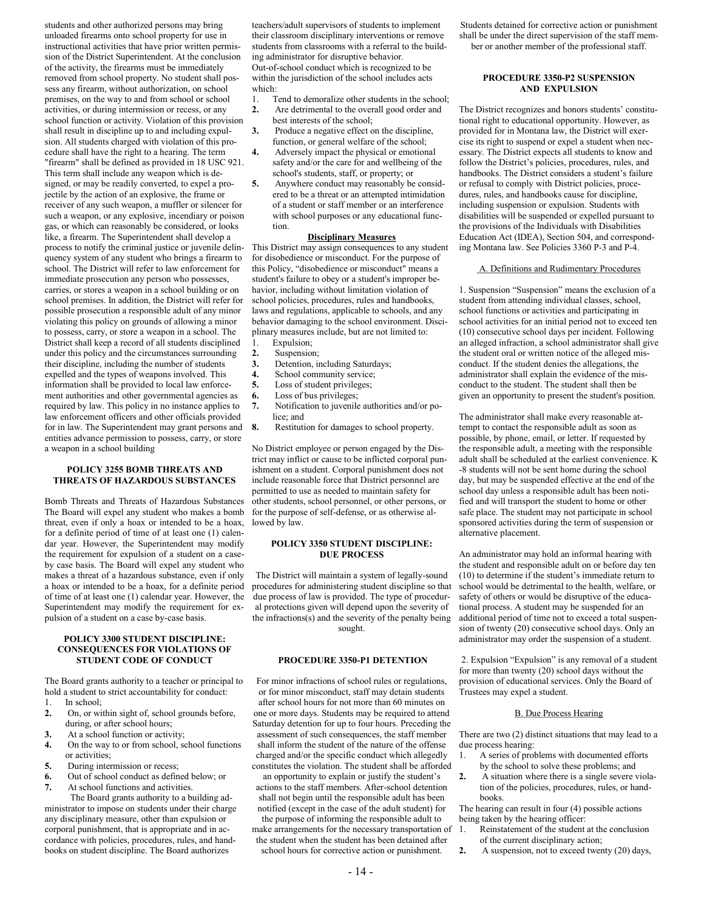students and other authorized persons may bring unloaded firearms onto school property for use in instructional activities that have prior written permission of the District Superintendent. At the conclusion of the activity, the firearms must be immediately removed from school property. No student shall possess any firearm, without authorization, on school premises, on the way to and from school or school activities, or during intermission or recess, or any school function or activity. Violation of this provision shall result in discipline up to and including expulsion. All students charged with violation of this procedure shall have the right to a hearing. The term "firearm" shall be defined as provided in 18 USC 921. This term shall include any weapon which is designed, or may be readily converted, to expel a projectile by the action of an explosive, the frame or receiver of any such weapon, a muffler or silencer for such a weapon, or any explosive, incendiary or poison gas, or which can reasonably be considered, or looks like, a firearm. The Superintendent shall develop a process to notify the criminal justice or juvenile delinquency system of any student who brings a firearm to school. The District will refer to law enforcement for immediate prosecution any person who possesses, carries, or stores a weapon in a school building or on school premises. In addition, the District will refer for possible prosecution a responsible adult of any minor violating this policy on grounds of allowing a minor to possess, carry, or store a weapon in a school. The District shall keep a record of all students disciplined under this policy and the circumstances surrounding their discipline, including the number of students expelled and the types of weapons involved. This information shall be provided to local law enforcement authorities and other governmental agencies as required by law. This policy in no instance applies to law enforcement officers and other officials provided for in law. The Superintendent may grant persons and entities advance permission to possess, carry, or store a weapon in a school building

#### **POLICY 3255 BOMB THREATS AND THREATS OF HAZARDOUS SUBSTANCES**

Bomb Threats and Threats of Hazardous Substances The Board will expel any student who makes a bomb threat, even if only a hoax or intended to be a hoax, for a definite period of time of at least one (1) calendar year. However, the Superintendent may modify the requirement for expulsion of a student on a caseby case basis. The Board will expel any student who makes a threat of a hazardous substance, even if only a hoax or intended to be a hoax, for a definite period of time of at least one (1) calendar year. However, the Superintendent may modify the requirement for expulsion of a student on a case by-case basis.

#### **POLICY 3300 STUDENT DISCIPLINE: CONSEQUENCES FOR VIOLATIONS OF STUDENT CODE OF CONDUCT**

The Board grants authority to a teacher or principal to hold a student to strict accountability for conduct: 1. In school;

- **2.** On, or within sight of, school grounds before, during, or after school hours;
- **3.** At a school function or activity;
- **4.** On the way to or from school, school functions or activities;
- **5.** During intermission or recess;
- **6.** Out of school conduct as defined below; or
- **7.** At school functions and activities.

The Board grants authority to a building administrator to impose on students under their charge any disciplinary measure, other than expulsion or corporal punishment, that is appropriate and in accordance with policies, procedures, rules, and handbooks on student discipline. The Board authorizes

teachers/adult supervisors of students to implement their classroom disciplinary interventions or remove students from classrooms with a referral to the building administrator for disruptive behavior. Out-of-school conduct which is recognized to be within the jurisdiction of the school includes acts which:

- 1. Tend to demoralize other students in the school;
- **2.** Are detrimental to the overall good order and best interests of the school;
- **3.** Produce a negative effect on the discipline, function, or general welfare of the school;
- **4.** Adversely impact the physical or emotional safety and/or the care for and wellbeing of the school's students, staff, or property; or
- **5.** Anywhere conduct may reasonably be considered to be a threat or an attempted intimidation of a student or staff member or an interference with school purposes or any educational function.

#### **Disciplinary Measures**

This District may assign consequences to any student for disobedience or misconduct. For the purpose of this Policy, "disobedience or misconduct" means a student's failure to obey or a student's improper behavior, including without limitation violation of school policies, procedures, rules and handbooks, laws and regulations, applicable to schools, and any behavior damaging to the school environment. Disciplinary measures include, but are not limited to:

- 1. Expulsion;
- **2.** Suspension;
- **3.** Detention, including Saturdays;
- **4.** School community service;
- **5.** Loss of student privileges;
- **6.** Loss of bus privileges;
- **7.** Notification to juvenile authorities and/or police; and
- **8.** Restitution for damages to school property.

No District employee or person engaged by the District may inflict or cause to be inflicted corporal punishment on a student. Corporal punishment does not include reasonable force that District personnel are permitted to use as needed to maintain safety for other students, school personnel, or other persons, or for the purpose of self-defense, or as otherwise allowed by law.

#### **POLICY 3350 STUDENT DISCIPLINE: DUE PROCESS**

The District will maintain a system of legally-sound procedures for administering student discipline so that due process of law is provided. The type of procedural protections given will depend upon the severity of the infractions(s) and the severity of the penalty being sought.

#### **PROCEDURE 3350-P1 DETENTION**

For minor infractions of school rules or regulations, or for minor misconduct, staff may detain students after school hours for not more than 60 minutes on one or more days. Students may be required to attend Saturday detention for up to four hours. Preceding the assessment of such consequences, the staff member shall inform the student of the nature of the offense charged and/or the specific conduct which allegedly constitutes the violation. The student shall be afforded

an opportunity to explain or justify the student's actions to the staff members. After-school detention shall not begin until the responsible adult has been notified (except in the case of the adult student) for

the purpose of informing the responsible adult to make arrangements for the necessary transportation of the student when the student has been detained after school hours for corrective action or punishment.

Students detained for corrective action or punishment shall be under the direct supervision of the staff member or another member of the professional staff.

#### **PROCEDURE 3350-P2 SUSPENSION AND EXPULSION**

The District recognizes and honors students' constitutional right to educational opportunity. However, as provided for in Montana law, the District will exercise its right to suspend or expel a student when necessary. The District expects all students to know and follow the District's policies, procedures, rules, and handbooks. The District considers a student's failure or refusal to comply with District policies, procedures, rules, and handbooks cause for discipline, including suspension or expulsion. Students with disabilities will be suspended or expelled pursuant to the provisions of the Individuals with Disabilities Education Act (IDEA), Section 504, and corresponding Montana law. See Policies 3360 P-3 and P-4.

#### A. Definitions and Rudimentary Procedures

1. Suspension "Suspension" means the exclusion of a student from attending individual classes, school, school functions or activities and participating in school activities for an initial period not to exceed ten (10) consecutive school days per incident. Following an alleged infraction, a school administrator shall give the student oral or written notice of the alleged misconduct. If the student denies the allegations, the administrator shall explain the evidence of the misconduct to the student. The student shall then be given an opportunity to present the student's position.

The administrator shall make every reasonable attempt to contact the responsible adult as soon as possible, by phone, email, or letter. If requested by the responsible adult, a meeting with the responsible adult shall be scheduled at the earliest convenience. K -8 students will not be sent home during the school day, but may be suspended effective at the end of the school day unless a responsible adult has been notified and will transport the student to home or other safe place. The student may not participate in school sponsored activities during the term of suspension or alternative placement.

An administrator may hold an informal hearing with the student and responsible adult on or before day ten (10) to determine if the student's immediate return to school would be detrimental to the health, welfare, or safety of others or would be disruptive of the educational process. A student may be suspended for an additional period of time not to exceed a total suspension of twenty (20) consecutive school days. Only an administrator may order the suspension of a student.

2. Expulsion "Expulsion" is any removal of a student for more than twenty (20) school days without the provision of educational services. Only the Board of Trustees may expel a student.

#### B. Due Process Hearing

There are two (2) distinct situations that may lead to a due process hearing:

- 1. A series of problems with documented efforts by the school to solve these problems; and
- **2.** A situation where there is a single severe violation of the policies, procedures, rules, or handbooks.

The hearing can result in four (4) possible actions being taken by the hearing officer:

- Reinstatement of the student at the conclusion of the current disciplinary action;
- **2.** A suspension, not to exceed twenty (20) days,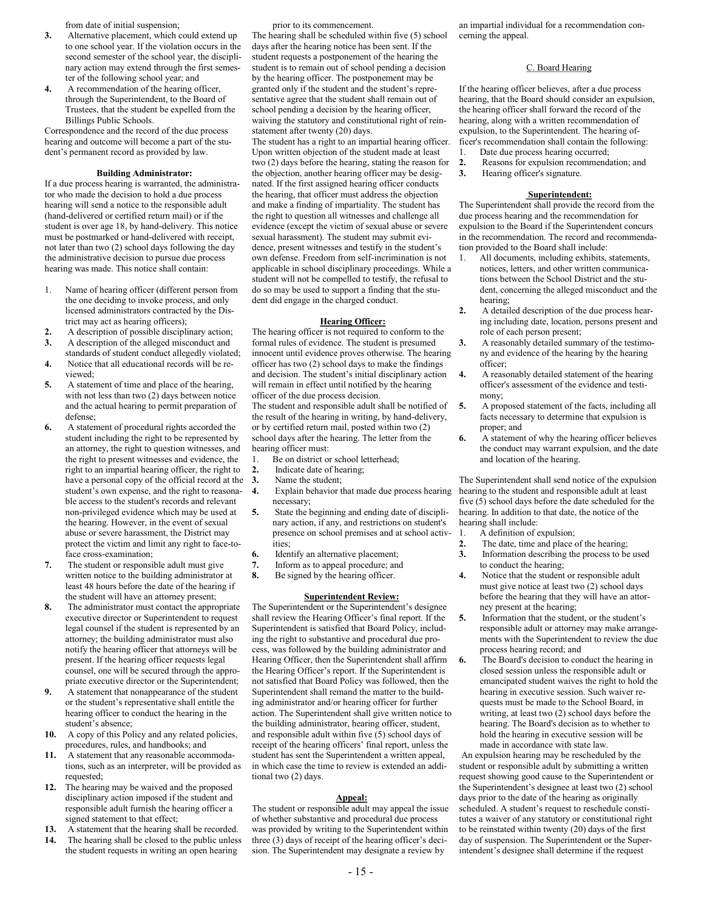from date of initial suspension;

- **3.** Alternative placement, which could extend up to one school year. If the violation occurs in the second semester of the school year, the disciplinary action may extend through the first semester of the following school year; and
- **4.** A recommendation of the hearing officer, through the Superintendent, to the Board of Trustees, that the student be expelled from the Billings Public Schools.

Correspondence and the record of the due process hearing and outcome will become a part of the student's permanent record as provided by law.

#### **Building Administrator:**

If a due process hearing is warranted, the administrator who made the decision to hold a due process hearing will send a notice to the responsible adult (hand-delivered or certified return mail) or if the student is over age 18, by hand-delivery. This notice must be postmarked or hand-delivered with receipt, not later than two (2) school days following the day the administrative decision to pursue due process hearing was made. This notice shall contain:

- 1. Name of hearing officer (different person from the one deciding to invoke process, and only licensed administrators contracted by the District may act as hearing officers);
- **2.** A description of possible disciplinary action; **3.** A description of the alleged misconduct and
- standards of student conduct allegedly violated; **4.** Notice that all educational records will be re-
- viewed; **5.** A statement of time and place of the hearing, with not less than two  $(2)$  days between notice and the actual hearing to permit preparation of defense;
- **6.** A statement of procedural rights accorded the student including the right to be represented by an attorney, the right to question witnesses, and the right to present witnesses and evidence, the right to an impartial hearing officer, the right to have a personal copy of the official record at the student's own expense, and the right to reasonable access to the student's records and relevant non-privileged evidence which may be used at the hearing. However, in the event of sexual abuse or severe harassment, the District may protect the victim and limit any right to face-toface cross-examination;
- **7.** The student or responsible adult must give written notice to the building administrator at least 48 hours before the date of the hearing if the student will have an attorney present;
- **8.** The administrator must contact the appropriate executive director or Superintendent to request legal counsel if the student is represented by an attorney; the building administrator must also notify the hearing officer that attorneys will be present. If the hearing officer requests legal counsel, one will be secured through the appropriate executive director or the Superintendent;
- **9.** A statement that nonappearance of the student or the student's representative shall entitle the hearing officer to conduct the hearing in the student's absence;
- **10.** A copy of this Policy and any related policies, procedures, rules, and handbooks; and
- **11.** A statement that any reasonable accommodations, such as an interpreter, will be provided as requested;
- **12.** The hearing may be waived and the proposed disciplinary action imposed if the student and responsible adult furnish the hearing officer a signed statement to that effect;
- **13.** A statement that the hearing shall be recorded. **14.** The hearing shall be closed to the public unless the student requests in writing an open hearing

prior to its commencement.

The hearing shall be scheduled within five (5) school days after the hearing notice has been sent. If the student requests a postponement of the hearing the student is to remain out of school pending a decision by the hearing officer. The postponement may be granted only if the student and the student's representative agree that the student shall remain out of school pending a decision by the hearing officer, waiving the statutory and constitutional right of reinstatement after twenty (20) days. The student has a right to an impartial hearing officer. Upon written objection of the student made at least two (2) days before the hearing, stating the reason for the objection, another hearing officer may be designated. If the first assigned hearing officer conducts the hearing, that officer must address the objection and make a finding of impartiality. The student has the right to question all witnesses and challenge all evidence (except the victim of sexual abuse or severe sexual harassment). The student may submit evidence, present witnesses and testify in the student's own defense. Freedom from self-incrimination is not applicable in school disciplinary proceedings. While a student will not be compelled to testify, the refusal to do so may be used to support a finding that the student did engage in the charged conduct.

#### **Hearing Officer:**

The hearing officer is not required to conform to the formal rules of evidence. The student is presumed innocent until evidence proves otherwise. The hearing officer has two (2) school days to make the findings and decision. The student's initial disciplinary action will remain in effect until notified by the hearing officer of the due process decision. The student and responsible adult shall be notified of the result of the hearing in writing, by hand-delivery, or by certified return mail, posted within two (2)

school days after the hearing. The letter from the hearing officer must:

- 1. Be on district or school letterhead;
- **2.** Indicate date of hearing;
- **3.** Name the student;
- **4.** Explain behavior that made due process hearing necessary;
- **5.** State the beginning and ending date of disciplinary action, if any, and restrictions on student's presence on school premises and at school activities;
- **6.** Identify an alternative placement;<br>**7.** Inform as to appeal procedure; and
- **7.** Inform as to appeal procedure; and
- **8.** Be signed by the hearing officer.

#### **Superintendent Review:**

The Superintendent or the Superintendent's designee shall review the Hearing Officer's final report. If the Superintendent is satisfied that Board Policy, including the right to substantive and procedural due process, was followed by the building administrator and Hearing Officer, then the Superintendent shall affirm the Hearing Officer's report. If the Superintendent is not satisfied that Board Policy was followed, then the Superintendent shall remand the matter to the building administrator and/or hearing officer for further action. The Superintendent shall give written notice to the building administrator, hearing officer, student, and responsible adult within five (5) school days of receipt of the hearing officers' final report, unless the student has sent the Superintendent a written appeal, in which case the time to review is extended an additional two (2) days.

#### **Appeal:**

The student or responsible adult may appeal the issue of whether substantive and procedural due process was provided by writing to the Superintendent within three (3) days of receipt of the hearing officer's decision. The Superintendent may designate a review by

an impartial individual for a recommendation concerning the appeal.

#### C. Board Hearing

If the hearing officer believes, after a due process hearing, that the Board should consider an expulsion, the hearing officer shall forward the record of the hearing, along with a written recommendation of expulsion, to the Superintendent. The hearing officer's recommendation shall contain the following:

- 
- 1. Date due process hearing occurred;<br>**2.** Reasons for expulsion recommend **2.** Reasons for expulsion recommendation; and
- **3.** Hearing officer's signature.

#### **Superintendent:**

The Superintendent shall provide the record from the due process hearing and the recommendation for expulsion to the Board if the Superintendent concurs in the recommendation. The record and recommendation provided to the Board shall include:

- All documents, including exhibits, statements, notices, letters, and other written communications between the School District and the student, concerning the alleged misconduct and the hearing;
- **2.** A detailed description of the due process hearing including date, location, persons present and role of each person present;
- **3.** A reasonably detailed summary of the testimony and evidence of the hearing by the hearing officer;
- **4.** A reasonably detailed statement of the hearing officer's assessment of the evidence and testimony;
- **5.** A proposed statement of the facts, including all facts necessary to determine that expulsion is proper; and
- **6.** A statement of why the hearing officer believes the conduct may warrant expulsion, and the date and location of the hearing.

The Superintendent shall send notice of the expulsion hearing to the student and responsible adult at least five (5) school days before the date scheduled for the hearing. In addition to that date, the notice of the hearing shall include:

- 1. A definition of expulsion;
- **2.** The date, time and place of the hearing;
- **3.** Information describing the process to be used to conduct the hearing;
- **4.** Notice that the student or responsible adult must give notice at least two (2) school days before the hearing that they will have an attorney present at the hearing;
- **5.** Information that the student, or the student's responsible adult or attorney may make arrangements with the Superintendent to review the due process hearing record; and
- **6.** The Board's decision to conduct the hearing in closed session unless the responsible adult or emancipated student waives the right to hold the hearing in executive session. Such waiver requests must be made to the School Board, in writing, at least two (2) school days before the hearing. The Board's decision as to whether to hold the hearing in executive session will be made in accordance with state law.

An expulsion hearing may be rescheduled by the student or responsible adult by submitting a written request showing good cause to the Superintendent or the Superintendent's designee at least two (2) school days prior to the date of the hearing as originally scheduled. A student's request to reschedule constitutes a waiver of any statutory or constitutional right to be reinstated within twenty (20) days of the first day of suspension. The Superintendent or the Superintendent's designee shall determine if the request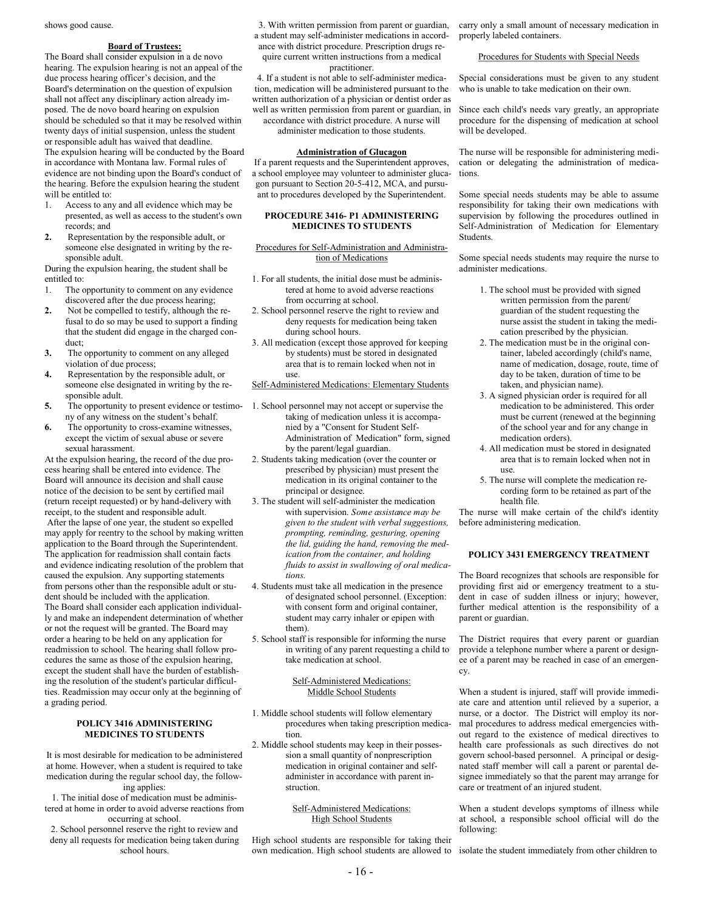shows good cause.

#### **Board of Trustees:**

The Board shall consider expulsion in a de novo hearing. The expulsion hearing is not an appeal of the due process hearing officer's decision, and the Board's determination on the question of expulsion shall not affect any disciplinary action already imposed. The de novo board hearing on expulsion should be scheduled so that it may be resolved within twenty days of initial suspension, unless the student or responsible adult has waived that deadline. The expulsion hearing will be conducted by the Board in accordance with Montana law. Formal rules of evidence are not binding upon the Board's conduct of the hearing. Before the expulsion hearing the student will be entitled to:

- 1. Access to any and all evidence which may be presented, as well as access to the student's own records; and
- **2.** Representation by the responsible adult, or someone else designated in writing by the responsible adult.

During the expulsion hearing, the student shall be entitled to:

- 1. The opportunity to comment on any evidence discovered after the due process hearing;
- **2.** Not be compelled to testify, although the refusal to do so may be used to support a finding that the student did engage in the charged conduct;
- **3.** The opportunity to comment on any alleged violation of due process;
- **4.** Representation by the responsible adult, or someone else designated in writing by the responsible adult.
- **5.** The opportunity to present evidence or testimony of any witness on the student's behalf.
- **6.** The opportunity to cross-examine witnesses, except the victim of sexual abuse or severe sexual harassment.

At the expulsion hearing, the record of the due process hearing shall be entered into evidence. The Board will announce its decision and shall cause notice of the decision to be sent by certified mail (return receipt requested) or by hand-delivery with receipt, to the student and responsible adult. After the lapse of one year, the student so expelled may apply for reentry to the school by making written application to the Board through the Superintendent. The application for readmission shall contain facts and evidence indicating resolution of the problem that caused the expulsion. Any supporting statements from persons other than the responsible adult or student should be included with the application. The Board shall consider each application individually and make an independent determination of whether or not the request will be granted. The Board may order a hearing to be held on any application for readmission to school. The hearing shall follow procedures the same as those of the expulsion hearing, except the student shall have the burden of establishing the resolution of the student's particular difficulties. Readmission may occur only at the beginning of a grading period.

#### **POLICY 3416 ADMINISTERING MEDICINES TO STUDENTS**

It is most desirable for medication to be administered at home. However, when a student is required to take medication during the regular school day, the following applies:

- 1. The initial dose of medication must be administered at home in order to avoid adverse reactions from occurring at school.
- 2. School personnel reserve the right to review and deny all requests for medication being taken during school hours.

 3. With written permission from parent or guardian, a student may self-administer medications in accordance with district procedure. Prescription drugs require current written instructions from a medical practitioner.

4. If a student is not able to self-administer medication, medication will be administered pursuant to the written authorization of a physician or dentist order as well as written permission from parent or guardian, in accordance with district procedure. A nurse will

administer medication to those students.

#### **Administration of Glucagon**

If a parent requests and the Superintendent approves, a school employee may volunteer to administer glucagon pursuant to Section 20-5-412, MCA, and pursuant to procedures developed by the Superintendent.

#### **PROCEDURE 3416- P1 ADMINISTERING MEDICINES TO STUDENTS**

#### Procedures for Self-Administration and Administration of Medications

- 1. For all students, the initial dose must be administered at home to avoid adverse reactions from occurring at school.
- 2. School personnel reserve the right to review and deny requests for medication being taken during school hours.
- 3. All medication (except those approved for keeping by students) must be stored in designated area that is to remain locked when not in use.

#### Self-Administered Medications: Elementary Students

- 1. School personnel may not accept or supervise the taking of medication unless it is accompanied by a "Consent for Student Self-Administration of Medication" form, signed by the parent/legal guardian.
- 2. Students taking medication (over the counter or prescribed by physician) must present the medication in its original container to the principal or designee.
- 3. The student will self-administer the medication with supervision. *Some assistance may be given to the student with verbal suggestions, prompting, reminding, gesturing, opening the lid, guiding the hand, removing the medication from the container, and holding fluids to assist in swallowing of oral medications.*
- 4. Students must take all medication in the presence of designated school personnel. (Exception: with consent form and original container, student may carry inhaler or epipen with them).
- 5. School staff is responsible for informing the nurse in writing of any parent requesting a child to take medication at school.

#### Self-Administered Medications: Middle School Students

- 1. Middle school students will follow elementary procedures when taking prescription medication.
- 2. Middle school students may keep in their possession a small quantity of nonprescription medication in original container and selfadminister in accordance with parent instruction.

#### Self-Administered Medications: High School Students

High school students are responsible for taking their own medication. High school students are allowed to isolate the student immediately from other children to

carry only a small amount of necessary medication in properly labeled containers.

#### Procedures for Students with Special Needs

Special considerations must be given to any student who is unable to take medication on their own.

Since each child's needs vary greatly, an appropriate procedure for the dispensing of medication at school will be developed.

The nurse will be responsible for administering medication or delegating the administration of medications.

Some special needs students may be able to assume responsibility for taking their own medications with supervision by following the procedures outlined in Self-Administration of Medication for Elementary Students.

Some special needs students may require the nurse to administer medications.

- 1. The school must be provided with signed written permission from the parent/ guardian of the student requesting the nurse assist the student in taking the medication prescribed by the physician.
- 2. The medication must be in the original container, labeled accordingly (child's name, name of medication, dosage, route, time of day to be taken, duration of time to be taken, and physician name).
- 3. A signed physician order is required for all medication to be administered. This order must be current (renewed at the beginning of the school year and for any change in medication orders).
- 4. All medication must be stored in designated area that is to remain locked when not in use.
- 5. The nurse will complete the medication recording form to be retained as part of the health file.

The nurse will make certain of the child's identity before administering medication.

#### **POLICY 3431 EMERGENCY TREATMENT**

The Board recognizes that schools are responsible for providing first aid or emergency treatment to a student in case of sudden illness or injury; however, further medical attention is the responsibility of a parent or guardian.

The District requires that every parent or guardian provide a telephone number where a parent or designee of a parent may be reached in case of an emergency.

When a student is injured, staff will provide immediate care and attention until relieved by a superior, a nurse, or a doctor. The District will employ its normal procedures to address medical emergencies without regard to the existence of medical directives to health care professionals as such directives do not govern school-based personnel. A principal or designated staff member will call a parent or parental designee immediately so that the parent may arrange for care or treatment of an injured student.

When a student develops symptoms of illness while at school, a responsible school official will do the following: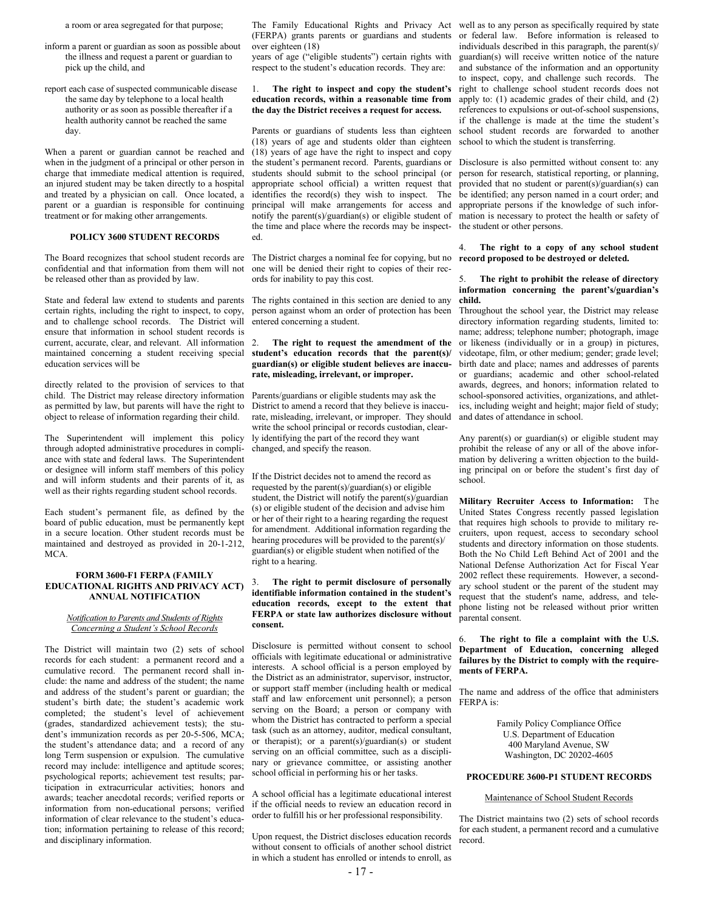a room or area segregated for that purpose;

- inform a parent or guardian as soon as possible about the illness and request a parent or guardian to pick up the child, and
- report each case of suspected communicable disease the same day by telephone to a local health authority or as soon as possible thereafter if a health authority cannot be reached the same day.

When a parent or guardian cannot be reached and when in the judgment of a principal or other person in charge that immediate medical attention is required, an injured student may be taken directly to a hospital and treated by a physician on call. Once located, a parent or a guardian is responsible for continuing treatment or for making other arrangements.

#### **POLICY 3600 STUDENT RECORDS**

The Board recognizes that school student records are confidential and that information from them will not be released other than as provided by law.

State and federal law extend to students and parents The rights contained in this section are denied to any certain rights, including the right to inspect, to copy, and to challenge school records. The District will ensure that information in school student records is current, accurate, clear, and relevant. All information 2. maintained concerning a student receiving special education services will be

directly related to the provision of services to that child. The District may release directory information as permitted by law, but parents will have the right to object to release of information regarding their child.

The Superintendent will implement this policy through adopted administrative procedures in compliance with state and federal laws. The Superintendent or designee will inform staff members of this policy and will inform students and their parents of it, as well as their rights regarding student school records.

Each student's permanent file, as defined by the board of public education, must be permanently kept in a secure location. Other student records must be maintained and destroyed as provided in 20-1-212, MCA.

#### **FORM 3600-F1 FERPA (FAMILY EDUCATIONAL RIGHTS AND PRIVACY ACT) ANNUAL NOTIFICATION**

#### *Notification to Parents and Students of Rights Concerning a Student's School Records*

The District will maintain two (2) sets of school records for each student: a permanent record and a cumulative record. The permanent record shall include: the name and address of the student; the name and address of the student's parent or guardian; the student's birth date; the student's academic work completed; the student's level of achievement (grades, standardized achievement tests); the student's immunization records as per 20-5-506, MCA; the student's attendance data; and a record of any long Term suspension or expulsion. The cumulative record may include: intelligence and aptitude scores; psychological reports; achievement test results; participation in extracurricular activities; honors and awards; teacher anecdotal records; verified reports or information from non-educational persons; verified information of clear relevance to the student's education; information pertaining to release of this record; and disciplinary information.

(FERPA) grants parents or guardians and students over eighteen (18)

years of age ("eligible students") certain rights with respect to the student's education records. They are:

#### 1. **The right to inspect and copy the student's education records, within a reasonable time from the day the District receives a request for access.**

Parents or guardians of students less than eighteen (18) years of age and students older than eighteen (18) years of age have the right to inspect and copy the student's permanent record. Parents, guardians or students should submit to the school principal (or appropriate school official) a written request that identifies the record(s) they wish to inspect. The principal will make arrangements for access and notify the parent(s)/guardian(s) or eligible student of the time and place where the records may be inspected.

The District charges a nominal fee for copying, but no one will be denied their right to copies of their records for inability to pay this cost.

person against whom an order of protection has been entered concerning a student.

#### 2. **The right to request the amendment of the student's education records that the parent(s)/ guardian(s) or eligible student believes are inaccurate, misleading, irrelevant, or improper.**

Parents/guardians or eligible students may ask the District to amend a record that they believe is inaccurate, misleading, irrelevant, or improper. They should write the school principal or records custodian, clearly identifying the part of the record they want changed, and specify the reason.

If the District decides not to amend the record as requested by the parent(s)/guardian(s) or eligible student, the District will notify the parent(s)/guardian (s) or eligible student of the decision and advise him or her of their right to a hearing regarding the request for amendment. Additional information regarding the hearing procedures will be provided to the parent(s)/ guardian(s) or eligible student when notified of the right to a hearing.

#### 3. **The right to permit disclosure of personally identifiable information contained in the student's education records, except to the extent that FERPA or state law authorizes disclosure without consent.**

Disclosure is permitted without consent to school officials with legitimate educational or administrative interests. A school official is a person employed by the District as an administrator, supervisor, instructor, or support staff member (including health or medical staff and law enforcement unit personnel); a person serving on the Board; a person or company with whom the District has contracted to perform a special task (such as an attorney, auditor, medical consultant, or therapist); or a parent(s)/guardian(s) or student serving on an official committee, such as a disciplinary or grievance committee, or assisting another school official in performing his or her tasks.

A school official has a legitimate educational interest if the official needs to review an education record in order to fulfill his or her professional responsibility.

Upon request, the District discloses education records without consent to officials of another school district in which a student has enrolled or intends to enroll, as

The Family Educational Rights and Privacy Act well as to any person as specifically required by state or federal law. Before information is released to individuals described in this paragraph, the parent(s)/ guardian(s) will receive written notice of the nature and substance of the information and an opportunity to inspect, copy, and challenge such records. The right to challenge school student records does not apply to: (1) academic grades of their child, and (2) references to expulsions or out-of-school suspensions, if the challenge is made at the time the student's school student records are forwarded to another school to which the student is transferring.

> Disclosure is also permitted without consent to: any person for research, statistical reporting, or planning, provided that no student or parent(s)/guardian(s) can be identified; any person named in a court order; and appropriate persons if the knowledge of such information is necessary to protect the health or safety of the student or other persons.

#### 4. **The right to a copy of any school student record proposed to be destroyed or deleted.**

#### 5. **The right to prohibit the release of directory information concerning the parent's/guardian's child.**

Throughout the school year, the District may release directory information regarding students, limited to: name; address; telephone number; photograph, image or likeness (individually or in a group) in pictures, videotape, film, or other medium; gender; grade level; birth date and place; names and addresses of parents or guardians; academic and other school-related awards, degrees, and honors; information related to school-sponsored activities, organizations, and athletics, including weight and height; major field of study; and dates of attendance in school.

Any parent(s) or guardian(s) or eligible student may prohibit the release of any or all of the above information by delivering a written objection to the building principal on or before the student's first day of school.

**Military Recruiter Access to Information:** The United States Congress recently passed legislation that requires high schools to provide to military recruiters, upon request, access to secondary school students and directory information on those students. Both the No Child Left Behind Act of 2001 and the National Defense Authorization Act for Fiscal Year 2002 reflect these requirements. However, a secondary school student or the parent of the student may request that the student's name, address, and telephone listing not be released without prior written parental consent.

#### 6. **The right to file a complaint with the U.S. Department of Education, concerning alleged failures by the District to comply with the requirements of FERPA.**

The name and address of the office that administers FERPA is:

> Family Policy Compliance Office U.S. Department of Education 400 Maryland Avenue, SW Washington, DC 20202-4605

#### **PROCEDURE 3600-P1 STUDENT RECORDS**

#### Maintenance of School Student Records

The District maintains two (2) sets of school records for each student, a permanent record and a cumulative record.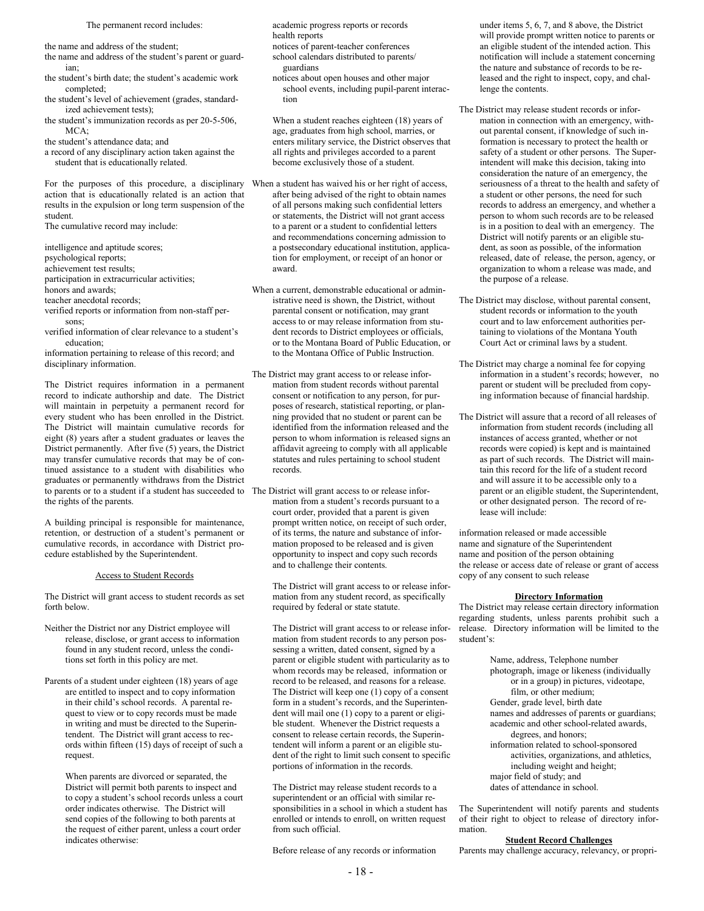The permanent record includes:

the name and address of the student;

- the name and address of the student's parent or guardian;
- the student's birth date; the student's academic work completed;
- the student's level of achievement (grades, standardized achievement tests);
- the student's immunization records as per 20-5-506,  $MCA$

the student's attendance data; and

a record of any disciplinary action taken against the student that is educationally related.

For the purposes of this procedure, a disciplinary action that is educationally related is an action that results in the expulsion or long term suspension of the student.

The cumulative record may include:

intelligence and aptitude scores;

psychological reports;

achievement test results;

participation in extracurricular activities;

honors and awards;

- teacher anecdotal records;
- verified reports or information from non-staff persons;
- verified information of clear relevance to a student's education;

information pertaining to release of this record; and disciplinary information.

The District requires information in a permanent record to indicate authorship and date. The District will maintain in perpetuity a permanent record for every student who has been enrolled in the District. The District will maintain cumulative records for eight (8) years after a student graduates or leaves the District permanently. After five (5) years, the District may transfer cumulative records that may be of continued assistance to a student with disabilities who graduates or permanently withdraws from the District to parents or to a student if a student has succeeded to The District will grant access to or release inforthe rights of the parents.

A building principal is responsible for maintenance, retention, or destruction of a student's permanent or cumulative records, in accordance with District procedure established by the Superintendent.

#### Access to Student Records

The District will grant access to student records as set forth below.

- Neither the District nor any District employee will release, disclose, or grant access to information found in any student record, unless the conditions set forth in this policy are met.
- Parents of a student under eighteen (18) years of age are entitled to inspect and to copy information in their child's school records. A parental request to view or to copy records must be made in writing and must be directed to the Superintendent. The District will grant access to records within fifteen (15) days of receipt of such a request.

When parents are divorced or separated, the District will permit both parents to inspect and to copy a student's school records unless a court order indicates otherwise. The District will send copies of the following to both parents at the request of either parent, unless a court order indicates otherwise:

academic progress reports or records health reports

notices of parent-teacher conferences

- school calendars distributed to parents/ guardians
- notices about open houses and other major school events, including pupil-parent interaction

When a student reaches eighteen (18) years of age, graduates from high school, marries, or enters military service, the District observes that all rights and privileges accorded to a parent become exclusively those of a student.

When a student has waived his or her right of access, after being advised of the right to obtain names of all persons making such confidential letters or statements, the District will not grant access to a parent or a student to confidential letters and recommendations concerning admission to a postsecondary educational institution, application for employment, or receipt of an honor or award.

When a current, demonstrable educational or administrative need is shown, the District, without parental consent or notification, may grant access to or may release information from student records to District employees or officials, or to the Montana Board of Public Education, or to the Montana Office of Public Instruction.

- The District may grant access to or release information from student records without parental consent or notification to any person, for purposes of research, statistical reporting, or planning provided that no student or parent can be identified from the information released and the person to whom information is released signs an affidavit agreeing to comply with all applicable statutes and rules pertaining to school student records.
	- mation from a student's records pursuant to a court order, provided that a parent is given prompt written notice, on receipt of such order, of its terms, the nature and substance of information proposed to be released and is given opportunity to inspect and copy such records and to challenge their contents.

The District will grant access to or release information from any student record, as specifically required by federal or state statute.

The District will grant access to or release information from student records to any person possessing a written, dated consent, signed by a parent or eligible student with particularity as to whom records may be released, information or record to be released, and reasons for a release. The District will keep one (1) copy of a consent form in a student's records, and the Superintendent will mail one (1) copy to a parent or eligible student. Whenever the District requests a consent to release certain records, the Superintendent will inform a parent or an eligible student of the right to limit such consent to specific portions of information in the records.

The District may release student records to a superintendent or an official with similar responsibilities in a school in which a student has enrolled or intends to enroll, on written request from such official.

Before release of any records or information

under items 5, 6, 7, and 8 above, the District will provide prompt written notice to parents or an eligible student of the intended action. This notification will include a statement concerning the nature and substance of records to be released and the right to inspect, copy, and challenge the contents.

- The District may release student records or information in connection with an emergency, without parental consent, if knowledge of such information is necessary to protect the health or safety of a student or other persons. The Superintendent will make this decision, taking into consideration the nature of an emergency, the seriousness of a threat to the health and safety of a student or other persons, the need for such records to address an emergency, and whether a person to whom such records are to be released is in a position to deal with an emergency. The District will notify parents or an eligible student, as soon as possible, of the information released, date of release, the person, agency, or organization to whom a release was made, and the purpose of a release.
- The District may disclose, without parental consent, student records or information to the youth court and to law enforcement authorities pertaining to violations of the Montana Youth Court Act or criminal laws by a student.
- The District may charge a nominal fee for copying information in a student's records; however, no parent or student will be precluded from copying information because of financial hardship.
- The District will assure that a record of all releases of information from student records (including all instances of access granted, whether or not records were copied) is kept and is maintained as part of such records. The District will maintain this record for the life of a student record and will assure it to be accessible only to a parent or an eligible student, the Superintendent, or other designated person. The record of release will include:

information released or made accessible name and signature of the Superintendent name and position of the person obtaining the release or access date of release or grant of access copy of any consent to such release

#### **Directory Information**

The District may release certain directory information regarding students, unless parents prohibit such a release. Directory information will be limited to the student's:

> Name, address, Telephone number photograph, image or likeness (individually or in a group) in pictures, videotape, film, or other medium; Gender, grade level, birth date names and addresses of parents or guardians; academic and other school-related awards, degrees, and honors; information related to school-sponsored activities, organizations, and athletics, including weight and height; major field of study; and dates of attendance in school.

The Superintendent will notify parents and students of their right to object to release of directory information.

#### **Student Record Challenges**

Parents may challenge accuracy, relevancy, or propri-